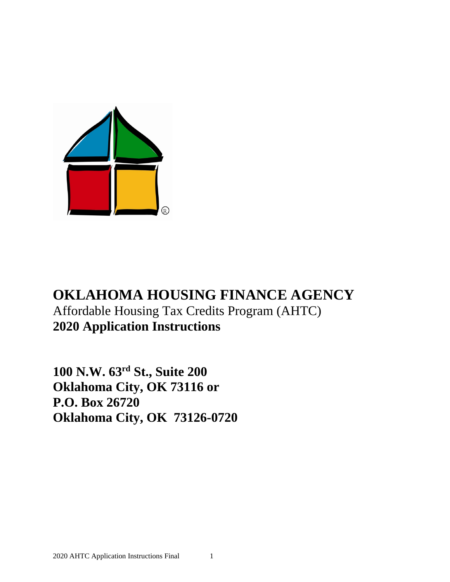

## **OKLAHOMA HOUSING FINANCE AGENCY** Affordable Housing Tax Credits Program (AHTC) **2020 Application Instructions**

**100 N.W. 63rd St., Suite 200 Oklahoma City, OK 73116 or P.O. Box 26720 Oklahoma City, OK 73126-0720**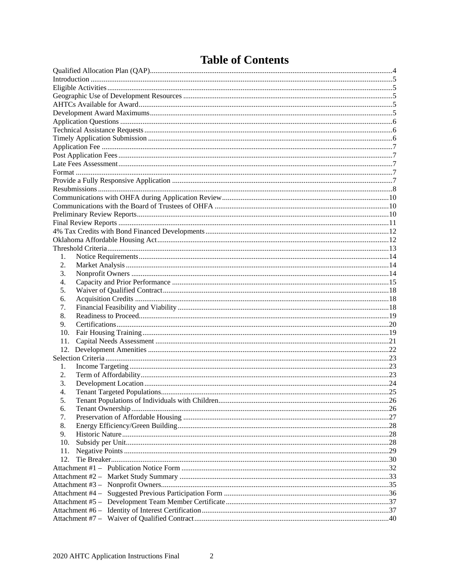| 1.       |  |
|----------|--|
| 2.       |  |
| 3.       |  |
| 4.       |  |
| 5.       |  |
| 6.       |  |
| 7.       |  |
| 8.       |  |
| 9.       |  |
| 10.      |  |
| 11.      |  |
|          |  |
| 1.       |  |
| 2.       |  |
| 3.       |  |
| 4.       |  |
|          |  |
| 5.<br>6. |  |
| 7.       |  |
| 8.       |  |
| 9.       |  |
| 10.      |  |
| 11.      |  |
| 12.      |  |
|          |  |
|          |  |
|          |  |
|          |  |
|          |  |
|          |  |
|          |  |

## **Table of Contents**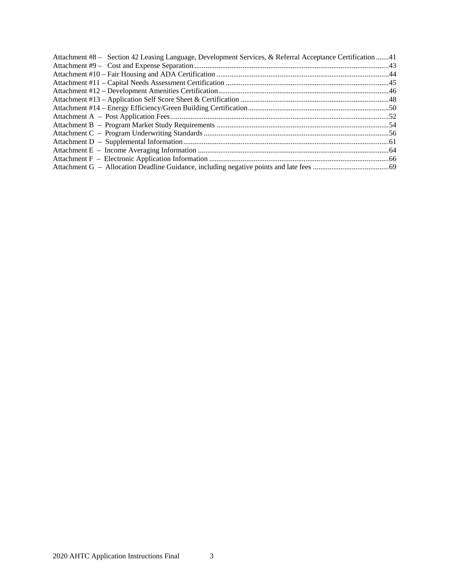| Attachment #8 – Section 42 Leasing Language, Development Services, & Referral Acceptance Certification 41 |  |
|-----------------------------------------------------------------------------------------------------------|--|
|                                                                                                           |  |
|                                                                                                           |  |
|                                                                                                           |  |
|                                                                                                           |  |
|                                                                                                           |  |
|                                                                                                           |  |
|                                                                                                           |  |
|                                                                                                           |  |
|                                                                                                           |  |
|                                                                                                           |  |
|                                                                                                           |  |
|                                                                                                           |  |
|                                                                                                           |  |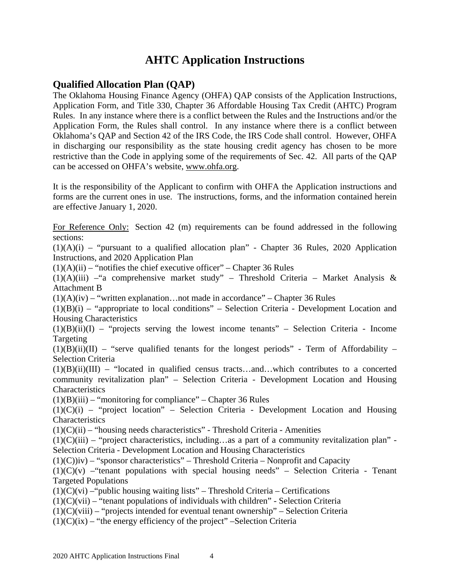## **AHTC Application Instructions**

### <span id="page-3-0"></span>**Qualified Allocation Plan (QAP)**

The Oklahoma Housing Finance Agency (OHFA) QAP consists of the Application Instructions, Application Form, and Title 330, Chapter 36 Affordable Housing Tax Credit (AHTC) Program Rules. In any instance where there is a conflict between the Rules and the Instructions and/or the Application Form, the Rules shall control. In any instance where there is a conflict between Oklahoma's QAP and Section 42 of the IRS Code, the IRS Code shall control. However, OHFA in discharging our responsibility as the state housing credit agency has chosen to be more restrictive than the Code in applying some of the requirements of Sec. 42. All parts of the QAP can be accessed on OHFA's website, [www.ohfa.org.](http://www.ohfa.org/)

It is the responsibility of the Applicant to confirm with OHFA the Application instructions and forms are the current ones in use. The instructions, forms, and the information contained herein are effective January 1, 2020.

For Reference Only: Section 42 (m) requirements can be found addressed in the following sections:

 $(1)(A)(i)$  – "pursuant to a qualified allocation plan" - Chapter 36 Rules, 2020 Application Instructions, and 2020 Application Plan

 $(1)(A)(ii)$  – "notifies the chief executive officer" – Chapter 36 Rules

 $(1)(A)(iii)$  – "a comprehensive market study" – Threshold Criteria – Market Analysis & Attachment B

 $(1)(A)(iv)$  – "written explanation... not made in accordance" – Chapter 36 Rules

 $(1)(B)(i)$  – "appropriate to local conditions" – Selection Criteria - Development Location and Housing Characteristics

 $(1)(B)(ii)(I)$  – "projects serving the lowest income tenants" – Selection Criteria - Income Targeting

 $(1)(B)(ii)(II)$  – "serve qualified tenants for the longest periods" - Term of Affordability – Selection Criteria

 $(1)(B)(ii)(III)$  – "located in qualified census tracts...and...which contributes to a concerted community revitalization plan" – Selection Criteria - Development Location and Housing **Characteristics** 

 $(1)(B)(iii)$  – "monitoring for compliance" – Chapter 36 Rules

 $(1)(C)(i)$  – "project location" – Selection Criteria - Development Location and Housing **Characteristics** 

 $(1)(C)(ii)$  – "housing needs characteristics" - Threshold Criteria - Amenities

 $(1)(C)(iii)$  – "project characteristics, including...as a part of a community revitalization plan" -Selection Criteria - Development Location and Housing Characteristics

 $(1)(C)$ iv) – "sponsor characteristics" – Threshold Criteria – Nonprofit and Capacity

 $(1)(C)(v)$  – "tenant populations with special housing needs" – Selection Criteria - Tenant Targeted Populations

 $(1)(C)(vi)$  – "public housing waiting lists" – Threshold Criteria – Certifications

 $(1)(C)(vii)$  – "tenant populations of individuals with children" - Selection Criteria

 $(1)(C)(viii)$  – "projects intended for eventual tenant ownership" – Selection Criteria

 $(1)(C)(ix)$  – "the energy efficiency of the project" –Selection Criteria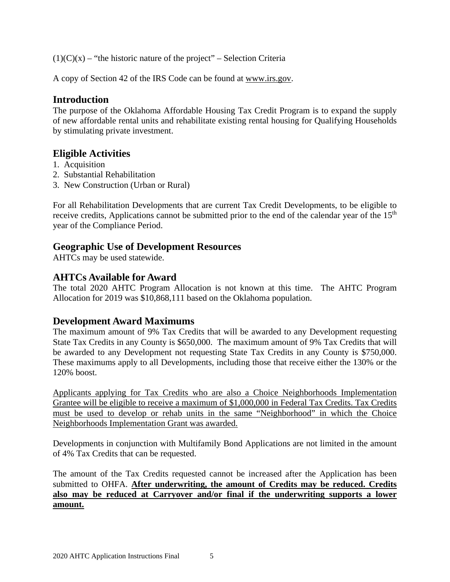$(1)(C)(x)$  – "the historic nature of the project" – Selection Criteria

A copy of Section 42 of the IRS Code can be found at [www.irs.gov.](http://www.irs.gov/)

### <span id="page-4-0"></span>**Introduction**

The purpose of the Oklahoma Affordable Housing Tax Credit Program is to expand the supply of new affordable rental units and rehabilitate existing rental housing for Qualifying Households by stimulating private investment.

### <span id="page-4-1"></span>**Eligible Activities**

- 1. Acquisition
- 2. Substantial Rehabilitation
- 3. New Construction (Urban or Rural)

For all Rehabilitation Developments that are current Tax Credit Developments, to be eligible to receive credits, Applications cannot be submitted prior to the end of the calendar year of the 15<sup>th</sup> year of the Compliance Period.

### <span id="page-4-2"></span>**Geographic Use of Development Resources**

AHTCs may be used statewide.

### <span id="page-4-3"></span>**AHTCs Available for Award**

The total 2020 AHTC Program Allocation is not known at this time. The AHTC Program Allocation for 2019 was \$10,868,111 based on the Oklahoma population.

### <span id="page-4-4"></span>**Development Award Maximums**

The maximum amount of 9% Tax Credits that will be awarded to any Development requesting State Tax Credits in any County is \$650,000. The maximum amount of 9% Tax Credits that will be awarded to any Development not requesting State Tax Credits in any County is \$750,000. These maximums apply to all Developments, including those that receive either the 130% or the 120% boost.

Applicants applying for Tax Credits who are also a Choice Neighborhoods Implementation Grantee will be eligible to receive a maximum of \$1,000,000 in Federal Tax Credits. Tax Credits must be used to develop or rehab units in the same "Neighborhood" in which the Choice Neighborhoods Implementation Grant was awarded.

Developments in conjunction with Multifamily Bond Applications are not limited in the amount of 4% Tax Credits that can be requested.

The amount of the Tax Credits requested cannot be increased after the Application has been submitted to OHFA. **After underwriting, the amount of Credits may be reduced. Credits also may be reduced at Carryover and/or final if the underwriting supports a lower amount.**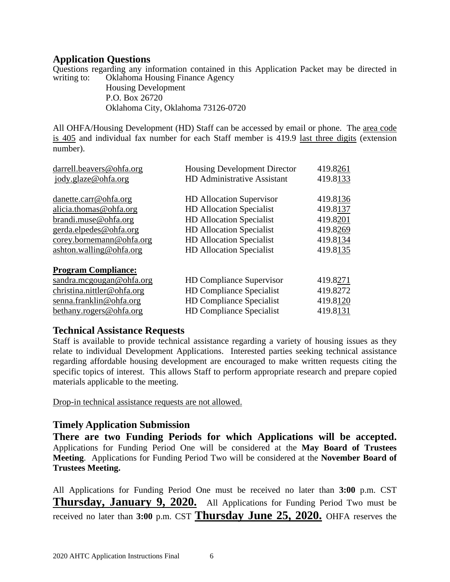### <span id="page-5-0"></span>**Application Questions**

Questions regarding any information contained in this Application Packet may be directed in writing to: Oklahoma Housing Finance Agency

Housing Development P.O. Box 26720 Oklahoma City, Oklahoma 73126-0720

All OHFA/Housing Development (HD) Staff can be accessed by email or phone. The area code is 405 and individual fax number for each Staff member is 419.9 last three digits (extension number).

| darrell.beavers@ohfa.org   | Housing Development Director    | 419.8261 |
|----------------------------|---------------------------------|----------|
| jody.glaze@ohfa.org        | HD Administrative Assistant     | 419.8133 |
|                            |                                 |          |
| danette.carr@ohfa.org      | <b>HD</b> Allocation Supervisor | 419.8136 |
| alicia.thomas@ohfa.org     | <b>HD</b> Allocation Specialist | 419.8137 |
| brandi.muse@ohfa.org       | <b>HD Allocation Specialist</b> | 419.8201 |
| gerda.elpedes@ohfa.org     | <b>HD Allocation Specialist</b> | 419.8269 |
| corey.bornemann@ohfa.org   | <b>HD Allocation Specialist</b> | 419.8134 |
| ashton.walling@ohfa.org    | <b>HD Allocation Specialist</b> | 419.8135 |
| <b>Program Compliance:</b> |                                 |          |
| sandra.mcgougan@ohfa.org   | <b>HD Compliance Supervisor</b> | 419.8271 |
| christina.nittler@ohfa.org | <b>HD Compliance Specialist</b> | 419.8272 |
| senna.franklin@ohfa.org    | <b>HD Compliance Specialist</b> | 419.8120 |
| bethany.rogers@ohfa.org    | <b>HD Compliance Specialist</b> | 419.8131 |

### <span id="page-5-1"></span>**Technical Assistance Requests**

Staff is available to provide technical assistance regarding a variety of housing issues as they relate to individual Development Applications. Interested parties seeking technical assistance regarding affordable housing development are encouraged to make written requests citing the specific topics of interest. This allows Staff to perform appropriate research and prepare copied materials applicable to the meeting.

Drop-in technical assistance requests are not allowed.

### <span id="page-5-2"></span>**Timely Application Submission**

**There are two Funding Periods for which Applications will be accepted.** Applications for Funding Period One will be considered at the **May Board of Trustees Meeting**. Applications for Funding Period Two will be considered at the **November Board of Trustees Meeting.**

All Applications for Funding Period One must be received no later than **3:00** p.m. CST **Thursday, January 9, 2020.** All Applications for Funding Period Two must be received no later than **3:00** p.m. CST **Thursday June 25, 2020.** OHFA reserves the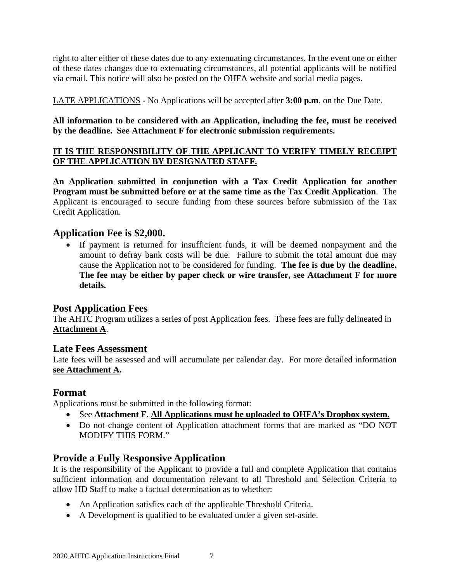right to alter either of these dates due to any extenuating circumstances. In the event one or either of these dates changes due to extenuating circumstances, all potential applicants will be notified via email. This notice will also be posted on the OHFA website and social media pages.

LATE APPLICATIONS - No Applications will be accepted after **3:00 p.m**. on the Due Date.

**All information to be considered with an Application, including the fee, must be received by the deadline. See Attachment F for electronic submission requirements.**

### **IT IS THE RESPONSIBILITY OF THE APPLICANT TO VERIFY TIMELY RECEIPT OF THE APPLICATION BY DESIGNATED STAFF.**

**An Application submitted in conjunction with a Tax Credit Application for another Program must be submitted before or at the same time as the Tax Credit Application**. The Applicant is encouraged to secure funding from these sources before submission of the Tax Credit Application.

### <span id="page-6-0"></span>**Application Fee is \$2,000.**

• If payment is returned for insufficient funds, it will be deemed nonpayment and the amount to defray bank costs will be due. Failure to submit the total amount due may cause the Application not to be considered for funding. **The fee is due by the deadline. The fee may be either by paper check or wire transfer, see Attachment F for more details.**

### <span id="page-6-1"></span>**Post Application Fees**

The AHTC Program utilizes a series of post Application fees. These fees are fully delineated in **Attachment A**.

### <span id="page-6-2"></span>**Late Fees Assessment**

Late fees will be assessed and will accumulate per calendar day. For more detailed information **see Attachment A.**

### <span id="page-6-3"></span>**Format**

Applications must be submitted in the following format:

- See **Attachment F**. **All Applications must be uploaded to OHFA's Dropbox system.**
- Do not change content of Application attachment forms that are marked as "DO NOT MODIFY THIS FORM."

### <span id="page-6-4"></span>**Provide a Fully Responsive Application**

It is the responsibility of the Applicant to provide a full and complete Application that contains sufficient information and documentation relevant to all Threshold and Selection Criteria to allow HD Staff to make a factual determination as to whether:

- An Application satisfies each of the applicable Threshold Criteria.
- A Development is qualified to be evaluated under a given set-aside.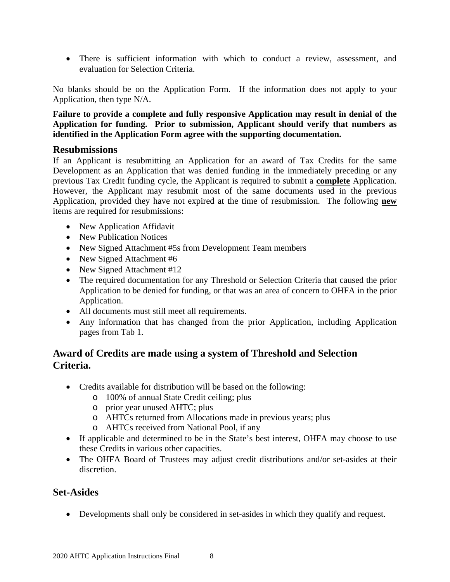• There is sufficient information with which to conduct a review, assessment, and evaluation for Selection Criteria.

No blanks should be on the Application Form. If the information does not apply to your Application, then type N/A.

**Failure to provide a complete and fully responsive Application may result in denial of the Application for funding. Prior to submission, Applicant should verify that numbers as identified in the Application Form agree with the supporting documentation.**

### <span id="page-7-0"></span>**Resubmissions**

If an Applicant is resubmitting an Application for an award of Tax Credits for the same Development as an Application that was denied funding in the immediately preceding or any previous Tax Credit funding cycle, the Applicant is required to submit a **complete** Application. However, the Applicant may resubmit most of the same documents used in the previous Application, provided they have not expired at the time of resubmission. The following **new** items are required for resubmissions:

- New Application Affidavit
- New Publication Notices
- New Signed Attachment #5s from Development Team members
- New Signed Attachment #6
- New Signed Attachment #12
- The required documentation for any Threshold or Selection Criteria that caused the prior Application to be denied for funding, or that was an area of concern to OHFA in the prior Application.
- All documents must still meet all requirements.
- Any information that has changed from the prior Application, including Application pages from Tab 1.

### **Award of Credits are made using a system of Threshold and Selection Criteria.**

- Credits available for distribution will be based on the following:
	- o 100% of annual State Credit ceiling; plus
	- o prior year unused AHTC; plus
	- o AHTCs returned from Allocations made in previous years; plus
	- o AHTCs received from National Pool, if any
- If applicable and determined to be in the State's best interest, OHFA may choose to use these Credits in various other capacities.
- The OHFA Board of Trustees may adjust credit distributions and/or set-asides at their discretion.

### **Set-Asides**

• Developments shall only be considered in set-asides in which they qualify and request.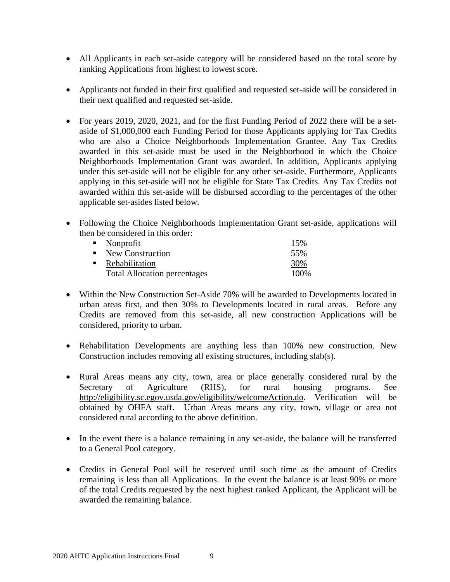- All Applicants in each set-aside category will be considered based on the total score by ranking Applications from highest to lowest score.
- Applicants not funded in their first qualified and requested set-aside will be considered in their next qualified and requested set-aside.
- For years 2019, 2020, 2021, and for the first Funding Period of 2022 there will be a setaside of \$1,000,000 each Funding Period for those Applicants applying for Tax Credits who are also a Choice Neighborhoods Implementation Grantee. Any Tax Credits awarded in this set-aside must be used in the Neighborhood in which the Choice Neighborhoods Implementation Grant was awarded. In addition, Applicants applying under this set-aside will not be eligible for any other set-aside. Furthermore, Applicants applying in this set-aside will not be eligible for State Tax Credits. Any Tax Credits not awarded within this set-aside will be disbursed according to the percentages of the other applicable set-asides listed below.
- Following the Choice Neighborhoods Implementation Grant set-aside, applications will then be considered in this order:

| $\blacksquare$ Nonprofit            | 15%   |
|-------------------------------------|-------|
| • New Construction                  | 55%   |
| • Rehabilitation                    | 30%   |
| <b>Total Allocation percentages</b> | 100\% |

- Within the New Construction Set-Aside 70% will be awarded to Developments located in urban areas first, and then 30% to Developments located in rural areas. Before any Credits are removed from this set-aside, all new construction Applications will be considered, priority to urban.
- Rehabilitation Developments are anything less than 100% new construction. New Construction includes removing all existing structures, including slab(s).
- Rural Areas means any city, town, area or place generally considered rural by the Secretary of Agriculture (RHS), for rural housing programs. See [http://eligibility.sc.egov.usda.gov/eligibility/welcomeAction.do.](http://eligibility.sc.egov.usda.gov/eligibility/welcomeAction.do) Verification will be obtained by OHFA staff. Urban Areas means any city, town, village or area not considered rural according to the above definition.
- In the event there is a balance remaining in any set-aside, the balance will be transferred to a General Pool category.
- Credits in General Pool will be reserved until such time as the amount of Credits remaining is less than all Applications. In the event the balance is at least 90% or more of the total Credits requested by the next highest ranked Applicant, the Applicant will be awarded the remaining balance.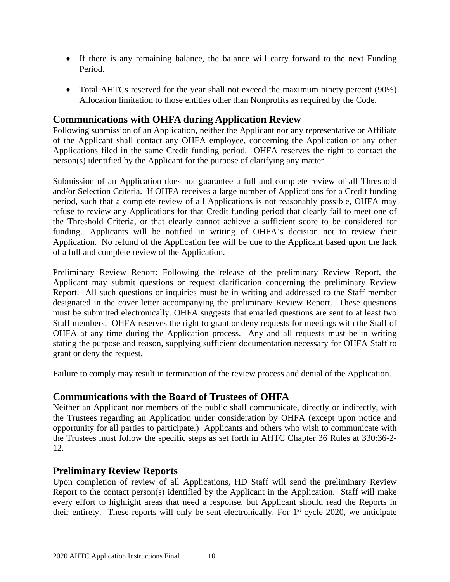- If there is any remaining balance, the balance will carry forward to the next Funding Period.
- Total AHTCs reserved for the year shall not exceed the maximum ninety percent (90%) Allocation limitation to those entities other than Nonprofits as required by the Code.

### <span id="page-9-0"></span>**Communications with OHFA during Application Review**

Following submission of an Application, neither the Applicant nor any representative or Affiliate of the Applicant shall contact any OHFA employee, concerning the Application or any other Applications filed in the same Credit funding period. OHFA reserves the right to contact the person(s) identified by the Applicant for the purpose of clarifying any matter.

Submission of an Application does not guarantee a full and complete review of all Threshold and/or Selection Criteria. If OHFA receives a large number of Applications for a Credit funding period, such that a complete review of all Applications is not reasonably possible, OHFA may refuse to review any Applications for that Credit funding period that clearly fail to meet one of the Threshold Criteria, or that clearly cannot achieve a sufficient score to be considered for funding. Applicants will be notified in writing of OHFA's decision not to review their Application. No refund of the Application fee will be due to the Applicant based upon the lack of a full and complete review of the Application.

Preliminary Review Report: Following the release of the preliminary Review Report, the Applicant may submit questions or request clarification concerning the preliminary Review Report. All such questions or inquiries must be in writing and addressed to the Staff member designated in the cover letter accompanying the preliminary Review Report. These questions must be submitted electronically. OHFA suggests that emailed questions are sent to at least two Staff members. OHFA reserves the right to grant or deny requests for meetings with the Staff of OHFA at any time during the Application process. Any and all requests must be in writing stating the purpose and reason, supplying sufficient documentation necessary for OHFA Staff to grant or deny the request.

Failure to comply may result in termination of the review process and denial of the Application.

### <span id="page-9-1"></span>**Communications with the Board of Trustees of OHFA**

Neither an Applicant nor members of the public shall communicate, directly or indirectly, with the Trustees regarding an Application under consideration by OHFA (except upon notice and opportunity for all parties to participate.) Applicants and others who wish to communicate with the Trustees must follow the specific steps as set forth in AHTC Chapter 36 Rules at 330:36-2- 12.

### <span id="page-9-2"></span>**Preliminary Review Reports**

Upon completion of review of all Applications, HD Staff will send the preliminary Review Report to the contact person(s) identified by the Applicant in the Application. Staff will make every effort to highlight areas that need a response, but Applicant should read the Reports in their entirety. These reports will only be sent electronically. For  $1<sup>st</sup>$  cycle 2020, we anticipate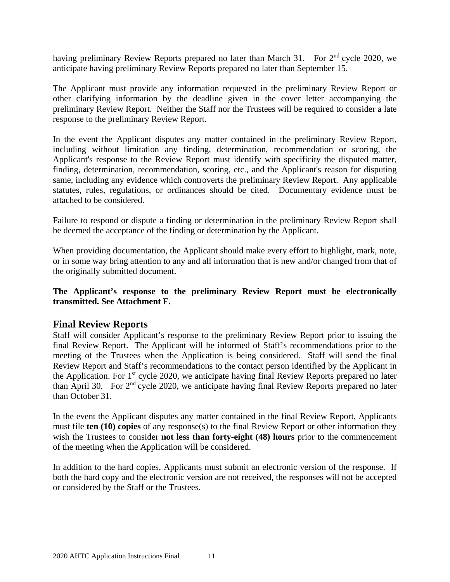having preliminary Review Reports prepared no later than March 31. For 2<sup>nd</sup> cycle 2020, we anticipate having preliminary Review Reports prepared no later than September 15.

The Applicant must provide any information requested in the preliminary Review Report or other clarifying information by the deadline given in the cover letter accompanying the preliminary Review Report. Neither the Staff nor the Trustees will be required to consider a late response to the preliminary Review Report.

In the event the Applicant disputes any matter contained in the preliminary Review Report, including without limitation any finding, determination, recommendation or scoring, the Applicant's response to the Review Report must identify with specificity the disputed matter, finding, determination, recommendation, scoring, etc., and the Applicant's reason for disputing same, including any evidence which controverts the preliminary Review Report. Any applicable statutes, rules, regulations, or ordinances should be cited. Documentary evidence must be attached to be considered.

Failure to respond or dispute a finding or determination in the preliminary Review Report shall be deemed the acceptance of the finding or determination by the Applicant.

When providing documentation, the Applicant should make every effort to highlight, mark, note, or in some way bring attention to any and all information that is new and/or changed from that of the originally submitted document.

### **The Applicant's response to the preliminary Review Report must be electronically transmitted. See Attachment F.**

### <span id="page-10-0"></span>**Final Review Reports**

Staff will consider Applicant's response to the preliminary Review Report prior to issuing the final Review Report. The Applicant will be informed of Staff's recommendations prior to the meeting of the Trustees when the Application is being considered. Staff will send the final Review Report and Staff's recommendations to the contact person identified by the Applicant in the Application. For  $1<sup>st</sup>$  cycle 2020, we anticipate having final Review Reports prepared no later than April 30. For 2nd cycle 2020, we anticipate having final Review Reports prepared no later than October 31.

In the event the Applicant disputes any matter contained in the final Review Report, Applicants must file **ten (10) copies** of any response(s) to the final Review Report or other information they wish the Trustees to consider **not less than forty-eight (48) hours** prior to the commencement of the meeting when the Application will be considered.

In addition to the hard copies, Applicants must submit an electronic version of the response. If both the hard copy and the electronic version are not received, the responses will not be accepted or considered by the Staff or the Trustees.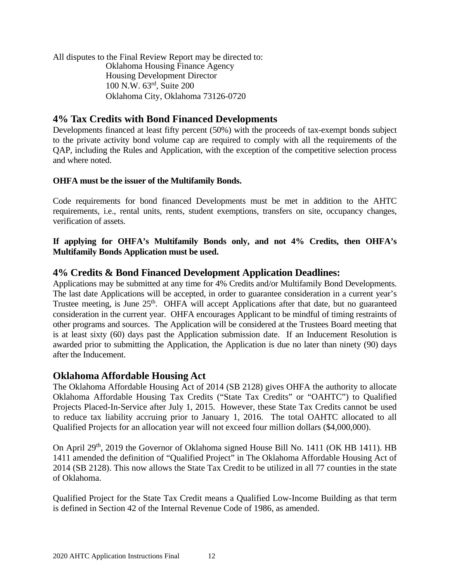All disputes to the Final Review Report may be directed to: Oklahoma Housing Finance Agency Housing Development Director 100 N.W. 63rd, Suite 200 Oklahoma City, Oklahoma 73126-0720

### <span id="page-11-0"></span>**4% Tax Credits with Bond Financed Developments**

Developments financed at least fifty percent (50%) with the proceeds of tax-exempt bonds subject to the private activity bond volume cap are required to comply with all the requirements of the QAP, including the Rules and Application, with the exception of the competitive selection process and where noted.

### **OHFA must be the issuer of the Multifamily Bonds.**

Code requirements for bond financed Developments must be met in addition to the AHTC requirements, i.e., rental units, rents, student exemptions, transfers on site, occupancy changes, verification of assets.

**If applying for OHFA's Multifamily Bonds only, and not 4% Credits, then OHFA's Multifamily Bonds Application must be used.**

### **4% Credits & Bond Financed Development Application Deadlines:**

Applications may be submitted at any time for 4% Credits and/or Multifamily Bond Developments. The last date Applications will be accepted, in order to guarantee consideration in a current year's Trustee meeting, is June 25<sup>th</sup>. OHFA will accept Applications after that date, but no guaranteed consideration in the current year. OHFA encourages Applicant to be mindful of timing restraints of other programs and sources. The Application will be considered at the Trustees Board meeting that is at least sixty (60) days past the Application submission date. If an Inducement Resolution is awarded prior to submitting the Application, the Application is due no later than ninety (90) days after the Inducement.

### <span id="page-11-1"></span>**Oklahoma Affordable Housing Act**

The Oklahoma Affordable Housing Act of 2014 (SB 2128) gives OHFA the authority to allocate Oklahoma Affordable Housing Tax Credits ("State Tax Credits" or "OAHTC") to Qualified Projects Placed-In-Service after July 1, 2015. However, these State Tax Credits cannot be used to reduce tax liability accruing prior to January 1, 2016. The total OAHTC allocated to all Qualified Projects for an allocation year will not exceed four million dollars (\$4,000,000).

On April 29<sup>th</sup>, 2019 the Governor of Oklahoma signed House Bill No. 1411 (OK HB 1411). HB 1411 amended the definition of "Qualified Project" in The Oklahoma Affordable Housing Act of 2014 (SB 2128). This now allows the State Tax Credit to be utilized in all 77 counties in the state of Oklahoma.

Qualified Project for the State Tax Credit means a Qualified Low-Income Building as that term is defined in Section 42 of the Internal Revenue Code of 1986, as amended.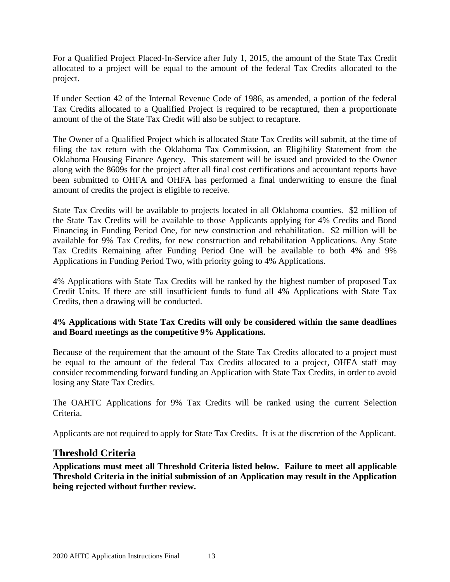For a Qualified Project Placed-In-Service after July 1, 2015, the amount of the State Tax Credit allocated to a project will be equal to the amount of the federal Tax Credits allocated to the project.

If under Section 42 of the Internal Revenue Code of 1986, as amended, a portion of the federal Tax Credits allocated to a Qualified Project is required to be recaptured, then a proportionate amount of the of the State Tax Credit will also be subject to recapture.

The Owner of a Qualified Project which is allocated State Tax Credits will submit, at the time of filing the tax return with the Oklahoma Tax Commission, an Eligibility Statement from the Oklahoma Housing Finance Agency. This statement will be issued and provided to the Owner along with the 8609s for the project after all final cost certifications and accountant reports have been submitted to OHFA and OHFA has performed a final underwriting to ensure the final amount of credits the project is eligible to receive.

State Tax Credits will be available to projects located in all Oklahoma counties. \$2 million of the State Tax Credits will be available to those Applicants applying for 4% Credits and Bond Financing in Funding Period One, for new construction and rehabilitation. \$2 million will be available for 9% Tax Credits, for new construction and rehabilitation Applications. Any State Tax Credits Remaining after Funding Period One will be available to both 4% and 9% Applications in Funding Period Two, with priority going to 4% Applications.

4% Applications with State Tax Credits will be ranked by the highest number of proposed Tax Credit Units. If there are still insufficient funds to fund all 4% Applications with State Tax Credits, then a drawing will be conducted.

### **4% Applications with State Tax Credits will only be considered within the same deadlines and Board meetings as the competitive 9% Applications.**

Because of the requirement that the amount of the State Tax Credits allocated to a project must be equal to the amount of the federal Tax Credits allocated to a project, OHFA staff may consider recommending forward funding an Application with State Tax Credits, in order to avoid losing any State Tax Credits.

The OAHTC Applications for 9% Tax Credits will be ranked using the current Selection Criteria.

<span id="page-12-0"></span>Applicants are not required to apply for State Tax Credits. It is at the discretion of the Applicant.

### **Threshold Criteria**

**Applications must meet all Threshold Criteria listed below. Failure to meet all applicable Threshold Criteria in the initial submission of an Application may result in the Application being rejected without further review.**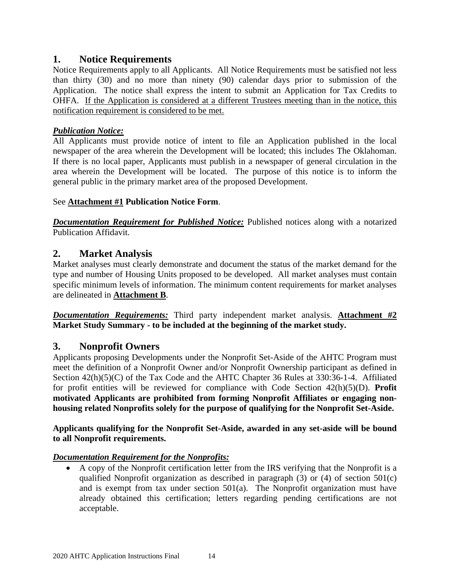### <span id="page-13-0"></span>**1. Notice Requirements**

Notice Requirements apply to all Applicants. All Notice Requirements must be satisfied not less than thirty (30) and no more than ninety (90) calendar days prior to submission of the Application. The notice shall express the intent to submit an Application for Tax Credits to OHFA. If the Application is considered at a different Trustees meeting than in the notice, this notification requirement is considered to be met.

### *Publication Notice:*

All Applicants must provide notice of intent to file an Application published in the local newspaper of the area wherein the Development will be located; this includes The Oklahoman. If there is no local paper, Applicants must publish in a newspaper of general circulation in the area wherein the Development will be located. The purpose of this notice is to inform the general public in the primary market area of the proposed Development.

### See **Attachment #1 Publication Notice Form**.

*Documentation Requirement for Published Notice:* Published notices along with a notarized Publication Affidavit.

### <span id="page-13-1"></span>**2. Market Analysis**

Market analyses must clearly demonstrate and document the status of the market demand for the type and number of Housing Units proposed to be developed. All market analyses must contain specific minimum levels of information. The minimum content requirements for market analyses are delineated in **Attachment B**.

*Documentation Requirements:* Third party independent market analysis. **Attachment #2 Market Study Summary - to be included at the beginning of the market study.**

### <span id="page-13-2"></span>**3. Nonprofit Owners**

Applicants proposing Developments under the Nonprofit Set-Aside of the AHTC Program must meet the definition of a Nonprofit Owner and/or Nonprofit Ownership participant as defined in Section 42(h)(5)(C) of the Tax Code and the AHTC Chapter 36 Rules at 330:36-1-4. Affiliated for profit entities will be reviewed for compliance with Code Section 42(h)(5)(D). **Profit motivated Applicants are prohibited from forming Nonprofit Affiliates or engaging nonhousing related Nonprofits solely for the purpose of qualifying for the Nonprofit Set-Aside.** 

### **Applicants qualifying for the Nonprofit Set-Aside, awarded in any set-aside will be bound to all Nonprofit requirements.**

### *Documentation Requirement for the Nonprofits:*

• A copy of the Nonprofit certification letter from the IRS verifying that the Nonprofit is a qualified Nonprofit organization as described in paragraph (3) or (4) of section 501(c) and is exempt from tax under section 501(a). The Nonprofit organization must have already obtained this certification; letters regarding pending certifications are not acceptable.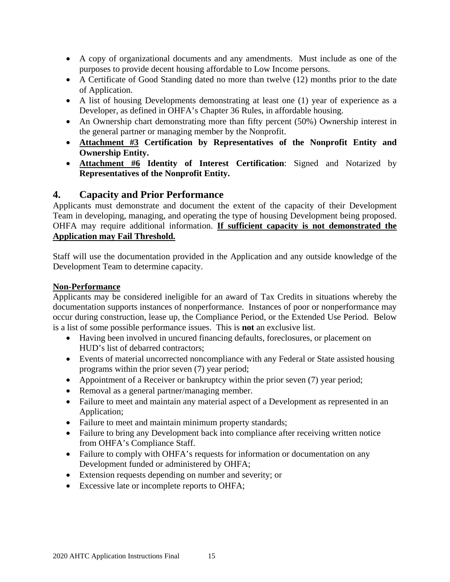- A copy of organizational documents and any amendments. Must include as one of the purposes to provide decent housing affordable to Low Income persons.
- A Certificate of Good Standing dated no more than twelve (12) months prior to the date of Application.
- A list of housing Developments demonstrating at least one (1) year of experience as a Developer, as defined in OHFA's Chapter 36 Rules, in affordable housing.
- An Ownership chart demonstrating more than fifty percent (50%) Ownership interest in the general partner or managing member by the Nonprofit.
- **Attachment #3 Certification by Representatives of the Nonprofit Entity and Ownership Entity.**
- **Attachment #6 Identity of Interest Certification**: Signed and Notarized by **Representatives of the Nonprofit Entity.**

### <span id="page-14-0"></span>**4. Capacity and Prior Performance**

Applicants must demonstrate and document the extent of the capacity of their Development Team in developing, managing, and operating the type of housing Development being proposed. OHFA may require additional information. **If sufficient capacity is not demonstrated the Application may Fail Threshold.**

Staff will use the documentation provided in the Application and any outside knowledge of the Development Team to determine capacity.

### **Non-Performance**

Applicants may be considered ineligible for an award of Tax Credits in situations whereby the documentation supports instances of nonperformance. Instances of poor or nonperformance may occur during construction, lease up, the Compliance Period, or the Extended Use Period. Below is a list of some possible performance issues. This is **not** an exclusive list.

- Having been involved in uncured financing defaults, foreclosures, or placement on HUD's list of debarred contractors;
- Events of material uncorrected noncompliance with any Federal or State assisted housing programs within the prior seven (7) year period;
- Appointment of a Receiver or bankruptcy within the prior seven (7) year period;
- Removal as a general partner/managing member.
- Failure to meet and maintain any material aspect of a Development as represented in an Application;
- Failure to meet and maintain minimum property standards;
- Failure to bring any Development back into compliance after receiving written notice from OHFA's Compliance Staff.
- Failure to comply with OHFA's requests for information or documentation on any Development funded or administered by OHFA;
- Extension requests depending on number and severity; or
- Excessive late or incomplete reports to OHFA;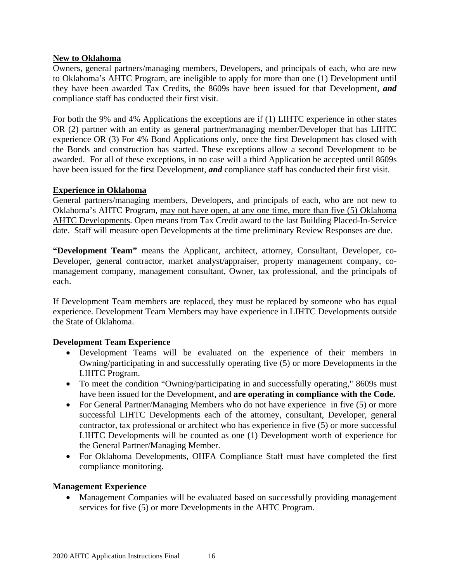### **New to Oklahoma**

Owners, general partners/managing members, Developers, and principals of each, who are new to Oklahoma's AHTC Program, are ineligible to apply for more than one (1) Development until they have been awarded Tax Credits, the 8609s have been issued for that Development, *and* compliance staff has conducted their first visit.

For both the 9% and 4% Applications the exceptions are if (1) LIHTC experience in other states OR (2) partner with an entity as general partner/managing member/Developer that has LIHTC experience OR (3) For 4% Bond Applications only, once the first Development has closed with the Bonds and construction has started. These exceptions allow a second Development to be awarded. For all of these exceptions, in no case will a third Application be accepted until 8609s have been issued for the first Development, *and* compliance staff has conducted their first visit.

### **Experience in Oklahoma**

General partners/managing members, Developers, and principals of each, who are not new to Oklahoma's AHTC Program, may not have open, at any one time, more than five (5) Oklahoma AHTC Developments. Open means from Tax Credit award to the last Building Placed-In-Service date. Staff will measure open Developments at the time preliminary Review Responses are due.

**"Development Team"** means the Applicant, architect, attorney, Consultant, Developer, co-Developer, general contractor, market analyst/appraiser, property management company, comanagement company, management consultant, Owner, tax professional, and the principals of each.

If Development Team members are replaced, they must be replaced by someone who has equal experience. Development Team Members may have experience in LIHTC Developments outside the State of Oklahoma.

### **Development Team Experience**

- Development Teams will be evaluated on the experience of their members in Owning/participating in and successfully operating five (5) or more Developments in the LIHTC Program.
- To meet the condition "Owning/participating in and successfully operating," 8609s must have been issued for the Development, and **are operating in compliance with the Code.**
- For General Partner/Managing Members who do not have experience in five (5) or more successful LIHTC Developments each of the attorney, consultant, Developer, general contractor, tax professional or architect who has experience in five (5) or more successful LIHTC Developments will be counted as one (1) Development worth of experience for the General Partner/Managing Member.
- For Oklahoma Developments, OHFA Compliance Staff must have completed the first compliance monitoring.

### **Management Experience**

• Management Companies will be evaluated based on successfully providing management services for five (5) or more Developments in the AHTC Program.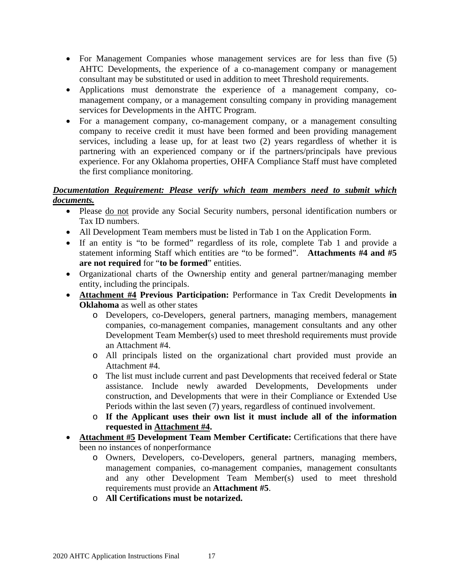- For Management Companies whose management services are for less than five (5) AHTC Developments, the experience of a co-management company or management consultant may be substituted or used in addition to meet Threshold requirements.
- Applications must demonstrate the experience of a management company, comanagement company, or a management consulting company in providing management services for Developments in the AHTC Program.
- For a management company, co-management company, or a management consulting company to receive credit it must have been formed and been providing management services, including a lease up, for at least two (2) years regardless of whether it is partnering with an experienced company or if the partners/principals have previous experience. For any Oklahoma properties, OHFA Compliance Staff must have completed the first compliance monitoring.

### *Documentation Requirement: Please verify which team members need to submit which documents.*

- Please do not provide any Social Security numbers, personal identification numbers or Tax ID numbers.
- All Development Team members must be listed in Tab 1 on the Application Form.
- If an entity is "to be formed" regardless of its role, complete Tab 1 and provide a statement informing Staff which entities are "to be formed". **Attachments #4 and #5 are not required** for "**to be formed**" entities.
- Organizational charts of the Ownership entity and general partner/managing member entity, including the principals.
- **Attachment #4 Previous Participation:** Performance in Tax Credit Developments **in Oklahoma** as well as other states
	- o Developers, co-Developers, general partners, managing members, management companies, co-management companies, management consultants and any other Development Team Member(s) used to meet threshold requirements must provide an Attachment #4.
	- o All principals listed on the organizational chart provided must provide an Attachment #4.
	- o The list must include current and past Developments that received federal or State assistance. Include newly awarded Developments, Developments under construction, and Developments that were in their Compliance or Extended Use Periods within the last seven (7) years, regardless of continued involvement.
	- o **If the Applicant uses their own list it must include all of the information requested in Attachment #4.**
- **Attachment #5 Development Team Member Certificate:** Certifications that there have been no instances of nonperformance
	- o Owners, Developers, co-Developers, general partners, managing members, management companies, co-management companies, management consultants and any other Development Team Member(s) used to meet threshold requirements must provide an **Attachment #5**.
	- o **All Certifications must be notarized.**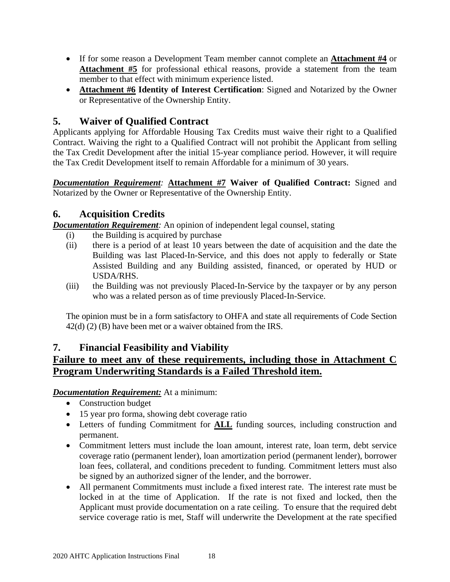- If for some reason a Development Team member cannot complete an **Attachment #4** or **Attachment #5** for professional ethical reasons, provide a statement from the team member to that effect with minimum experience listed.
- **Attachment #6 Identity of Interest Certification**: Signed and Notarized by the Owner or Representative of the Ownership Entity.

### **5. Waiver of Qualified Contract**

Applicants applying for Affordable Housing Tax Credits must waive their right to a Qualified Contract. Waiving the right to a Qualified Contract will not prohibit the Applicant from selling the Tax Credit Development after the initial 15-year compliance period. However, it will require the Tax Credit Development itself to remain Affordable for a minimum of 30 years.

*Documentation Requirement:* **Attachment #7 Waiver of Qualified Contract:** Signed and Notarized by the Owner or Representative of the Ownership Entity.

### <span id="page-17-0"></span>**6. Acquisition Credits**

*Documentation Requirement*: An opinion of independent legal counsel, stating

- (i) the Building is acquired by purchase
- (ii) there is a period of at least 10 years between the date of acquisition and the date the Building was last Placed-In-Service, and this does not apply to federally or State Assisted Building and any Building assisted, financed, or operated by HUD or USDA/RHS.
- (iii) the Building was not previously Placed-In-Service by the taxpayer or by any person who was a related person as of time previously Placed-In-Service.

The opinion must be in a form satisfactory to OHFA and state all requirements of Code Section 42(d) (2) (B) have been met or a waiver obtained from the IRS.

### <span id="page-17-1"></span>**7. Financial Feasibility and Viability**

### **Failure to meet any of these requirements, including those in Attachment C Program Underwriting Standards is a Failed Threshold item.**

*Documentation Requirement:* At a minimum:

- Construction budget
- 15 year pro forma, showing debt coverage ratio
- Letters of funding Commitment for **ALL** funding sources, including construction and permanent.
- Commitment letters must include the loan amount, interest rate, loan term, debt service coverage ratio (permanent lender), loan amortization period (permanent lender), borrower loan fees, collateral, and conditions precedent to funding. Commitment letters must also be signed by an authorized signer of the lender, and the borrower.
- All permanent Commitments must include a fixed interest rate. The interest rate must be locked in at the time of Application. If the rate is not fixed and locked, then the Applicant must provide documentation on a rate ceiling. To ensure that the required debt service coverage ratio is met, Staff will underwrite the Development at the rate specified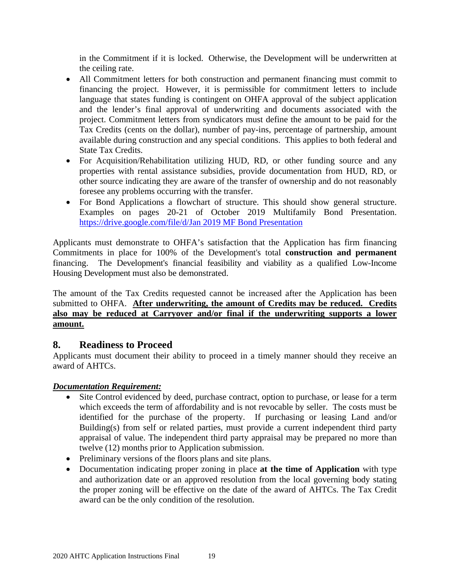in the Commitment if it is locked. Otherwise, the Development will be underwritten at the ceiling rate.

- All Commitment letters for both construction and permanent financing must commit to financing the project. However, it is permissible for commitment letters to include language that states funding is contingent on OHFA approval of the subject application and the lender's final approval of underwriting and documents associated with the project. Commitment letters from syndicators must define the amount to be paid for the Tax Credits (cents on the dollar), number of pay-ins, percentage of partnership, amount available during construction and any special conditions. This applies to both federal and State Tax Credits.
- For Acquisition/Rehabilitation utilizing HUD, RD, or other funding source and any properties with rental assistance subsidies, provide documentation from HUD, RD, or other source indicating they are aware of the transfer of ownership and do not reasonably foresee any problems occurring with the transfer.
- For Bond Applications a flowchart of structure. This should show general structure. Examples on pages 20-21 of October 2019 Multifamily Bond Presentation. [https://drive.google.com/file/d/Jan 2019 MF Bond Presentation](https://drive.google.com/file/d/1P8Fcu8isldmyzDFDf0suJpbyXk5vFbXJ/view)

Applicants must demonstrate to OHFA's satisfaction that the Application has firm financing Commitments in place for 100% of the Development's total **construction and permanent** financing. The Development's financial feasibility and viability as a qualified Low-Income Housing Development must also be demonstrated.

The amount of the Tax Credits requested cannot be increased after the Application has been submitted to OHFA. **After underwriting, the amount of Credits may be reduced. Credits also may be reduced at Carryover and/or final if the underwriting supports a lower amount.**

### <span id="page-18-0"></span>**8. Readiness to Proceed**

Applicants must document their ability to proceed in a timely manner should they receive an award of AHTCs.

### *Documentation Requirement:*

- Site Control evidenced by deed, purchase contract, option to purchase, or lease for a term which exceeds the term of affordability and is not revocable by seller. The costs must be identified for the purchase of the property. If purchasing or leasing Land and/or Building(s) from self or related parties, must provide a current independent third party appraisal of value. The independent third party appraisal may be prepared no more than twelve (12) months prior to Application submission.
- Preliminary versions of the floors plans and site plans.
- Documentation indicating proper zoning in place **at the time of Application** with type and authorization date or an approved resolution from the local governing body stating the proper zoning will be effective on the date of the award of AHTCs. The Tax Credit award can be the only condition of the resolution.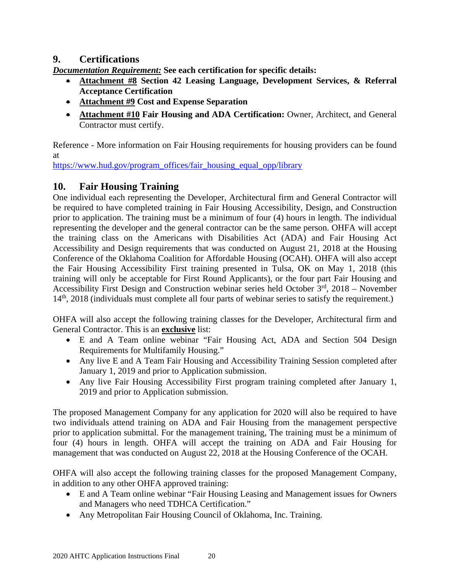### <span id="page-19-0"></span>**9. Certifications**

*Documentation Requirement:* **See each certification for specific details:**

- **Attachment #8 Section 42 Leasing Language, Development Services, & Referral Acceptance Certification**
- **Attachment #9 Cost and Expense Separation**
- **Attachment #10 Fair Housing and ADA Certification:** Owner, Architect, and General Contractor must certify.

Reference - More information on Fair Housing requirements for housing providers can be found at

[https://www.hud.gov/program\\_offices/fair\\_housing\\_equal\\_opp/library](https://www.hud.gov/program_offices/fair_housing_equal_opp/library)

### **10. Fair Housing Training**

One individual each representing the Developer, Architectural firm and General Contractor will be required to have completed training in Fair Housing Accessibility, Design, and Construction prior to application. The training must be a minimum of four (4) hours in length. The individual representing the developer and the general contractor can be the same person. OHFA will accept the training class on the Americans with Disabilities Act (ADA) and Fair Housing Act Accessibility and Design requirements that was conducted on August 21, 2018 at the Housing Conference of the Oklahoma Coalition for Affordable Housing (OCAH). OHFA will also accept the Fair Housing Accessibility First training presented in Tulsa, OK on May 1, 2018 (this training will only be acceptable for First Round Applicants), or the four part Fair Housing and Accessibility First Design and Construction webinar series held October  $3<sup>rd</sup>$ , 2018 – November 14<sup>th</sup>, 2018 (individuals must complete all four parts of webinar series to satisfy the requirement.)

OHFA will also accept the following training classes for the Developer, Architectural firm and General Contractor. This is an **exclusive** list:

- E and A Team online webinar "Fair Housing Act, ADA and Section 504 Design Requirements for Multifamily Housing."
- Any live E and A Team Fair Housing and Accessibility Training Session completed after January 1, 2019 and prior to Application submission.
- Any live Fair Housing Accessibility First program training completed after January 1, 2019 and prior to Application submission.

The proposed Management Company for any application for 2020 will also be required to have two individuals attend training on ADA and Fair Housing from the management perspective prior to application submittal. For the management training, The training must be a minimum of four (4) hours in length. OHFA will accept the training on ADA and Fair Housing for management that was conducted on August 22, 2018 at the Housing Conference of the OCAH.

OHFA will also accept the following training classes for the proposed Management Company, in addition to any other OHFA approved training:

- E and A Team online webinar "Fair Housing Leasing and Management issues for Owners and Managers who need TDHCA Certification."
- Any Metropolitan Fair Housing Council of Oklahoma, Inc. Training.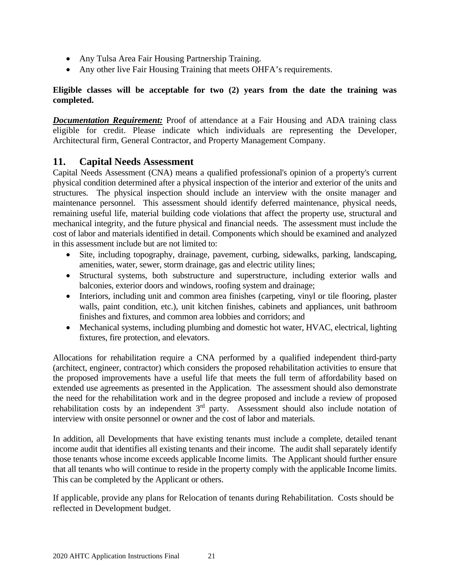- Any Tulsa Area Fair Housing Partnership Training.
- Any other live Fair Housing Training that meets OHFA's requirements.

### **Eligible classes will be acceptable for two (2) years from the date the training was completed.**

*Documentation Requirement:* Proof of attendance at a Fair Housing and ADA training class eligible for credit. Please indicate which individuals are representing the Developer, Architectural firm, General Contractor, and Property Management Company.

### <span id="page-20-0"></span>**11. Capital Needs Assessment**

Capital Needs Assessment (CNA) means a qualified professional's opinion of a property's current physical condition determined after a physical inspection of the interior and exterior of the units and structures. The physical inspection should include an interview with the onsite manager and maintenance personnel. This assessment should identify deferred maintenance, physical needs, remaining useful life, material building code violations that affect the property use, structural and mechanical integrity, and the future physical and financial needs. The assessment must include the cost of labor and materials identified in detail. Components which should be examined and analyzed in this assessment include but are not limited to:

- Site, including topography, drainage, pavement, curbing, sidewalks, parking, landscaping, amenities, water, sewer, storm drainage, gas and electric utility lines;
- Structural systems, both substructure and superstructure, including exterior walls and balconies, exterior doors and windows, roofing system and drainage;
- Interiors, including unit and common area finishes (carpeting, vinyl or tile flooring, plaster walls, paint condition, etc.), unit kitchen finishes, cabinets and appliances, unit bathroom finishes and fixtures, and common area lobbies and corridors; and
- Mechanical systems, including plumbing and domestic hot water, HVAC, electrical, lighting fixtures, fire protection, and elevators.

Allocations for rehabilitation require a CNA performed by a qualified independent third-party (architect, engineer, contractor) which considers the proposed rehabilitation activities to ensure that the proposed improvements have a useful life that meets the full term of affordability based on extended use agreements as presented in the Application. The assessment should also demonstrate the need for the rehabilitation work and in the degree proposed and include a review of proposed rehabilitation costs by an independent  $3<sup>rd</sup>$  party. Assessment should also include notation of interview with onsite personnel or owner and the cost of labor and materials.

In addition, all Developments that have existing tenants must include a complete, detailed tenant income audit that identifies all existing tenants and their income. The audit shall separately identify those tenants whose income exceeds applicable Income limits. The Applicant should further ensure that all tenants who will continue to reside in the property comply with the applicable Income limits. This can be completed by the Applicant or others.

If applicable, provide any plans for Relocation of tenants during Rehabilitation. Costs should be reflected in Development budget.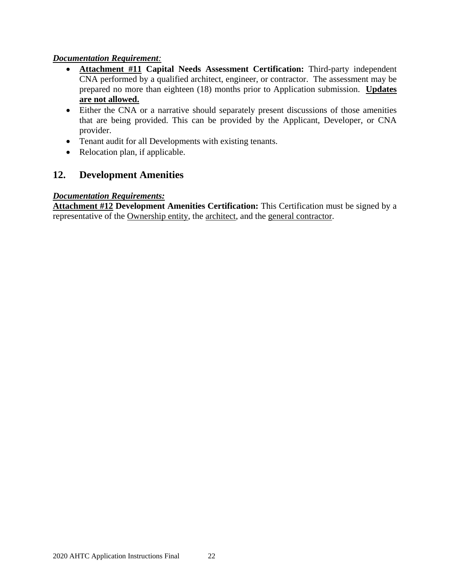### *Documentation Requirement:*

- **Attachment #11 Capital Needs Assessment Certification:** Third-party independent CNA performed by a qualified architect, engineer, or contractor. The assessment may be prepared no more than eighteen (18) months prior to Application submission. **Updates are not allowed.**
- Either the CNA or a narrative should separately present discussions of those amenities that are being provided. This can be provided by the Applicant, Developer, or CNA provider.
- Tenant audit for all Developments with existing tenants.
- Relocation plan, if applicable.

### <span id="page-21-0"></span>**12. Development Amenities**

### *Documentation Requirements:*

**Attachment #12 Development Amenities Certification:** This Certification must be signed by a representative of the Ownership entity, the architect, and the general contractor.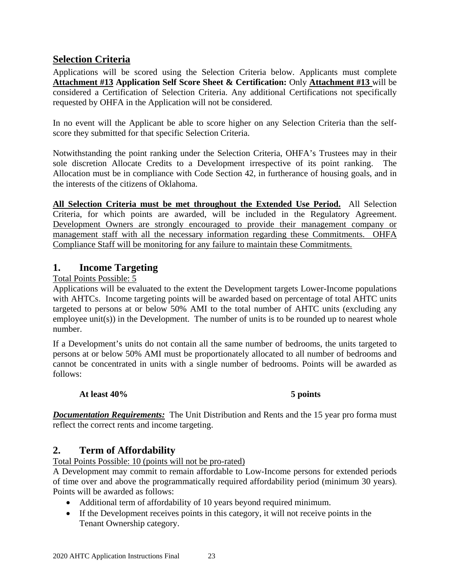### <span id="page-22-0"></span>**Selection Criteria**

Applications will be scored using the Selection Criteria below. Applicants must complete **Attachment #13 Application Self Score Sheet & Certification:** Only **Attachment #13** will be considered a Certification of Selection Criteria. Any additional Certifications not specifically requested by OHFA in the Application will not be considered.

In no event will the Applicant be able to score higher on any Selection Criteria than the selfscore they submitted for that specific Selection Criteria.

Notwithstanding the point ranking under the Selection Criteria, OHFA's Trustees may in their sole discretion Allocate Credits to a Development irrespective of its point ranking. The Allocation must be in compliance with Code Section 42, in furtherance of housing goals, and in the interests of the citizens of Oklahoma.

**All Selection Criteria must be met throughout the Extended Use Period.** All Selection Criteria, for which points are awarded, will be included in the Regulatory Agreement. Development Owners are strongly encouraged to provide their management company or management staff with all the necessary information regarding these Commitments. OHFA Compliance Staff will be monitoring for any failure to maintain these Commitments.

### <span id="page-22-1"></span>**1. Income Targeting**

Total Points Possible: 5

Applications will be evaluated to the extent the Development targets Lower-Income populations with AHTCs. Income targeting points will be awarded based on percentage of total AHTC units targeted to persons at or below 50% AMI to the total number of AHTC units (excluding any employee unit(s)) in the Development. The number of units is to be rounded up to nearest whole number.

If a Development's units do not contain all the same number of bedrooms, the units targeted to persons at or below 50% AMI must be proportionately allocated to all number of bedrooms and cannot be concentrated in units with a single number of bedrooms. Points will be awarded as follows:

### **At least 40% 5 points**

*Documentation Requirements:* The Unit Distribution and Rents and the 15 year pro forma must reflect the correct rents and income targeting.

### <span id="page-22-2"></span>**2. Term of Affordability**

Total Points Possible: 10 (points will not be pro-rated)

A Development may commit to remain affordable to Low-Income persons for extended periods of time over and above the programmatically required affordability period (minimum 30 years). Points will be awarded as follows:

- Additional term of affordability of 10 years beyond required minimum.
- If the Development receives points in this category, it will not receive points in the Tenant Ownership category.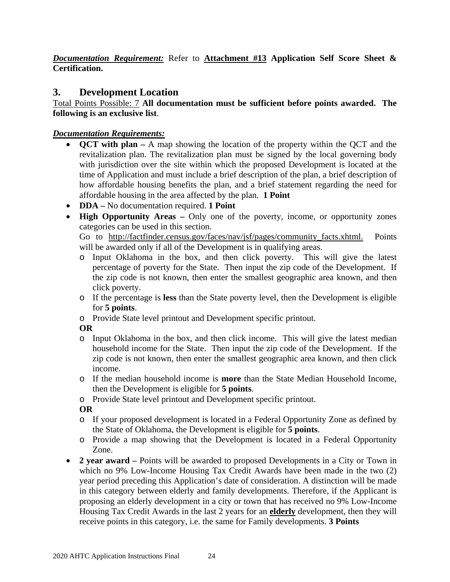*Documentation Requirement:* Refer to **Attachment #13 Application Self Score Sheet & Certification.** 

### <span id="page-23-0"></span>**3. Development Location**

Total Points Possible: 7 **All documentation must be sufficient before points awarded. The following is an exclusive list**.

### *Documentation Requirements:*

- **QCT with plan –** A map showing the location of the property within the QCT and the revitalization plan. The revitalization plan must be signed by the local governing body with jurisdiction over the site within which the proposed Development is located at the time of Application and must include a brief description of the plan, a brief description of how affordable housing benefits the plan, and a brief statement regarding the need for affordable housing in the area affected by the plan. **1 Point**
- **DDA –** No documentation required. **1 Point**
- **High Opportunity Areas –** Only one of the poverty, income, or opportunity zones categories can be used in this section.

Go to [http://factfinder.census.gov/faces/nav/jsf/pages/community\\_facts.xhtml.](http://factfinder.census.gov/faces/nav/jsf/pages/community_facts.xhtml) Points will be awarded only if all of the Development is in qualifying areas.

- o Input Oklahoma in the box, and then click poverty. This will give the latest percentage of poverty for the State. Then input the zip code of the Development. If the zip code is not known, then enter the smallest geographic area known, and then click poverty.
- o If the percentage is **less** than the State poverty level, then the Development is eligible for **5 points**.
- o Provide State level printout and Development specific printout.

### **OR**

- o Input Oklahoma in the box, and then click income. This will give the latest median household income for the State. Then input the zip code of the Development. If the zip code is not known, then enter the smallest geographic area known, and then click income.
- o If the median household income is **more** than the State Median Household Income, then the Development is eligible for **5 points**.
- o Provide State level printout and Development specific printout.

### **OR**

- o If your proposed development is located in a Federal Opportunity Zone as defined by the State of Oklahoma, the Development is eligible for **5 points**.
- o Provide a map showing that the Development is located in a Federal Opportunity Zone.
- **2 year award –** Points will be awarded to proposed Developments in a City or Town in which no 9% Low-Income Housing Tax Credit Awards have been made in the two (2) year period preceding this Application's date of consideration. A distinction will be made in this category between elderly and family developments. Therefore, if the Applicant is proposing an elderly development in a city or town that has received no 9% Low-Income Housing Tax Credit Awards in the last 2 years for an **elderly** development, then they will receive points in this category, i.e. the same for Family developments. **3 Points**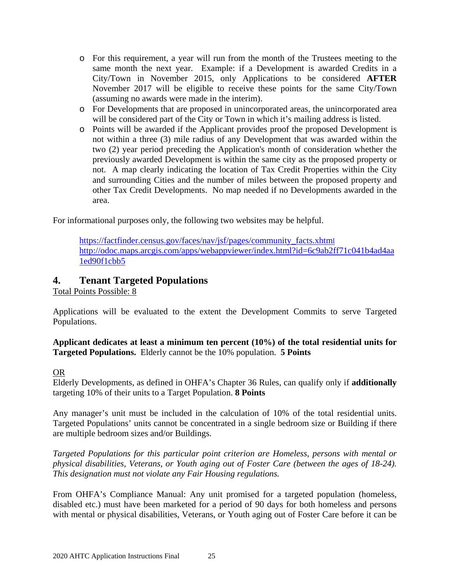- o For this requirement, a year will run from the month of the Trustees meeting to the same month the next year. Example: if a Development is awarded Credits in a City/Town in November 2015, only Applications to be considered **AFTER** November 2017 will be eligible to receive these points for the same City/Town (assuming no awards were made in the interim).
- o For Developments that are proposed in unincorporated areas, the unincorporated area will be considered part of the City or Town in which it's mailing address is listed.
- o Points will be awarded if the Applicant provides proof the proposed Development is not within a three (3) mile radius of any Development that was awarded within the two (2) year period preceding the Application's month of consideration whether the previously awarded Development is within the same city as the proposed property or not. A map clearly indicating the location of Tax Credit Properties within the City and surrounding Cities and the number of miles between the proposed property and other Tax Credit Developments. No map needed if no Developments awarded in the area.

For informational purposes only, the following two websites may be helpful.

<span id="page-24-0"></span>[https://factfinder.census.gov/faces/nav/jsf/pages/community\\_facts.xhtml](https://factfinder.census.gov/faces/nav/jsf/pages/community_facts.xhtml) [http://odoc.maps.arcgis.com/apps/webappviewer/index.html?id=6c9ab2ff71c041b4ad4aa](http://odoc.maps.arcgis.com/apps/webappviewer/index.html?id=6c9ab2ff71c041b4ad4aa1ed90f1cbb5) [1ed90f1cbb5](http://odoc.maps.arcgis.com/apps/webappviewer/index.html?id=6c9ab2ff71c041b4ad4aa1ed90f1cbb5)

### **4. Tenant Targeted Populations**

Total Points Possible: 8

Applications will be evaluated to the extent the Development Commits to serve Targeted Populations.

**Applicant dedicates at least a minimum ten percent (10%) of the total residential units for Targeted Populations.** Elderly cannot be the 10% population. **5 Points**

### OR

Elderly Developments, as defined in OHFA's Chapter 36 Rules, can qualify only if **additionally** targeting 10% of their units to a Target Population. **8 Points** 

Any manager's unit must be included in the calculation of 10% of the total residential units. Targeted Populations' units cannot be concentrated in a single bedroom size or Building if there are multiple bedroom sizes and/or Buildings.

*Targeted Populations for this particular point criterion are Homeless, persons with mental or physical disabilities, Veterans, or Youth aging out of Foster Care (between the ages of 18-24). This designation must not violate any Fair Housing regulations.*

From OHFA's Compliance Manual: Any unit promised for a targeted population (homeless, disabled etc.) must have been marketed for a period of 90 days for both homeless and persons with mental or physical disabilities, Veterans, or Youth aging out of Foster Care before it can be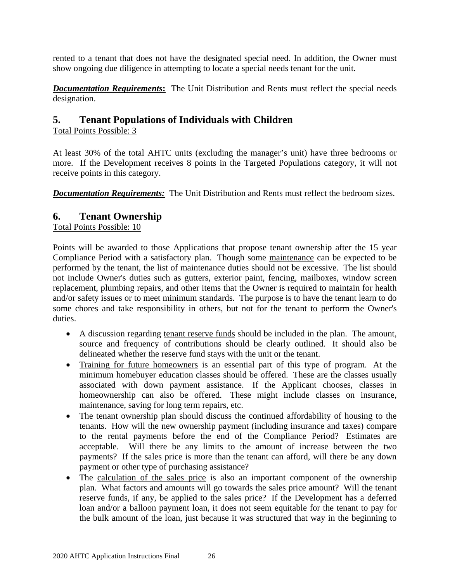rented to a tenant that does not have the designated special need. In addition, the Owner must show ongoing due diligence in attempting to locate a special needs tenant for the unit.

*Documentation Requirements***:** The Unit Distribution and Rents must reflect the special needs designation.

### <span id="page-25-0"></span>**5. Tenant Populations of Individuals with Children**

Total Points Possible: 3

At least 30% of the total AHTC units (excluding the manager's unit) have three bedrooms or more. If the Development receives 8 points in the Targeted Populations category, it will not receive points in this category.

*Documentation Requirements:* The Unit Distribution and Rents must reflect the bedroom sizes.

### <span id="page-25-1"></span>**6. Tenant Ownership**

Total Points Possible: 10

Points will be awarded to those Applications that propose tenant ownership after the 15 year Compliance Period with a satisfactory plan. Though some maintenance can be expected to be performed by the tenant, the list of maintenance duties should not be excessive. The list should not include Owner's duties such as gutters, exterior paint, fencing, mailboxes, window screen replacement, plumbing repairs, and other items that the Owner is required to maintain for health and/or safety issues or to meet minimum standards. The purpose is to have the tenant learn to do some chores and take responsibility in others, but not for the tenant to perform the Owner's duties.

- A discussion regarding tenant reserve funds should be included in the plan. The amount, source and frequency of contributions should be clearly outlined. It should also be delineated whether the reserve fund stays with the unit or the tenant.
- Training for future homeowners is an essential part of this type of program. At the minimum homebuyer education classes should be offered. These are the classes usually associated with down payment assistance. If the Applicant chooses, classes in homeownership can also be offered. These might include classes on insurance, maintenance, saving for long term repairs, etc.
- The tenant ownership plan should discuss the continued affordability of housing to the tenants. How will the new ownership payment (including insurance and taxes) compare to the rental payments before the end of the Compliance Period? Estimates are acceptable. Will there be any limits to the amount of increase between the two payments? If the sales price is more than the tenant can afford, will there be any down payment or other type of purchasing assistance?
- The calculation of the sales price is also an important component of the ownership plan. What factors and amounts will go towards the sales price amount? Will the tenant reserve funds, if any, be applied to the sales price? If the Development has a deferred loan and/or a balloon payment loan, it does not seem equitable for the tenant to pay for the bulk amount of the loan, just because it was structured that way in the beginning to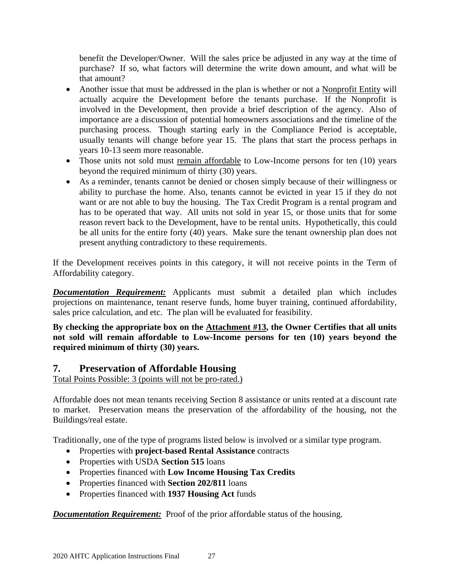benefit the Developer/Owner. Will the sales price be adjusted in any way at the time of purchase? If so, what factors will determine the write down amount, and what will be that amount?

- Another issue that must be addressed in the plan is whether or not a Nonprofit Entity will actually acquire the Development before the tenants purchase. If the Nonprofit is involved in the Development, then provide a brief description of the agency. Also of importance are a discussion of potential homeowners associations and the timeline of the purchasing process. Though starting early in the Compliance Period is acceptable, usually tenants will change before year 15. The plans that start the process perhaps in years 10-13 seem more reasonable.
- Those units not sold must remain affordable to Low-Income persons for ten (10) years beyond the required minimum of thirty (30) years.
- As a reminder, tenants cannot be denied or chosen simply because of their willingness or ability to purchase the home. Also, tenants cannot be evicted in year 15 if they do not want or are not able to buy the housing. The Tax Credit Program is a rental program and has to be operated that way. All units not sold in year 15, or those units that for some reason revert back to the Development, have to be rental units. Hypothetically, this could be all units for the entire forty (40) years. Make sure the tenant ownership plan does not present anything contradictory to these requirements.

If the Development receives points in this category, it will not receive points in the Term of Affordability category.

*Documentation Requirement:* Applicants must submit a detailed plan which includes projections on maintenance, tenant reserve funds, home buyer training, continued affordability, sales price calculation, and etc. The plan will be evaluated for feasibility.

**By checking the appropriate box on the Attachment #13, the Owner Certifies that all units not sold will remain affordable to Low-Income persons for ten (10) years beyond the required minimum of thirty (30) years.**

### <span id="page-26-0"></span>**7. Preservation of Affordable Housing**

Total Points Possible: 3 (points will not be pro-rated.)

Affordable does not mean tenants receiving Section 8 assistance or units rented at a discount rate to market. Preservation means the preservation of the affordability of the housing, not the Buildings/real estate.

Traditionally, one of the type of programs listed below is involved or a similar type program.

- Properties with **project-based Rental Assistance** contracts
- Properties with USDA **Section 515** loans
- Properties financed with **Low Income Housing Tax Credits**
- Properties financed with **Section 202/811** loans
- Properties financed with **1937 Housing Act** funds

*Documentation Requirement:* Proof of the prior affordable status of the housing.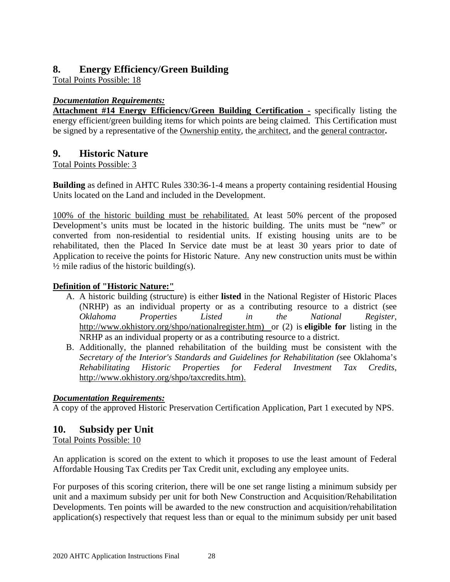### <span id="page-27-1"></span>**8. Energy Efficiency/Green Building**

Total Points Possible: 18

### *Documentation Requirements:*

**Attachment #14 Energy Efficiency/Green Building Certification -** specifically listing the energy efficient/green building items for which points are being claimed. This Certification must be signed by a representative of the Ownership entity, the architect, and the general contractor**.** 

### <span id="page-27-2"></span>**9. Historic Nature**

### Total Points Possible: 3

**Building** as defined in AHTC Rules 330:36-1-4 means a property containing residential Housing Units located on the Land and included in the Development.

100% of the historic building must be rehabilitated. At least 50% percent of the proposed Development's units must be located in the historic building. The units must be "new" or converted from non-residential to residential units. If existing housing units are to be rehabilitated, then the Placed In Service date must be at least 30 years prior to date of Application to receive the points for Historic Nature. Any new construction units must be within  $\frac{1}{2}$  mile radius of the historic building(s).

### **Definition of "Historic Nature:"**

- A. A historic building (structure) is either **listed** in the National Register of Historic Places (NRHP) as an individual property or as a contributing resource to a district (see *Oklahoma Properties Listed in the National Register,* [http://www.okhistory.org/shpo/nationalregister.htm\)](http://www.okhistory.org/shpo/nationalregister.htm) or (2) is **eligible for** listing in the NRHP as an individual property or as a contributing resource to a district.
- B. Additionally, the planned rehabilitation of the building must be consistent with the *Secretary of the Interior's Standards and Guidelines for Rehabilitation (*see Oklahoma's *Rehabilitating Historic Properties for Federal Investment Tax Credits,*  [http://www.okhistory.org/shpo/taxcredits.htm\)](http://www.okhistory.org/shpo/taxcredits.htm).

### *Documentation Requirements:*

A copy of the approved Historic Preservation Certification Application, Part 1 executed by NPS.

### <span id="page-27-0"></span>**10. Subsidy per Unit**

Total Points Possible: 10

An application is scored on the extent to which it proposes to use the least amount of Federal Affordable Housing Tax Credits per Tax Credit unit, excluding any employee units.

For purposes of this scoring criterion, there will be one set range listing a minimum subsidy per unit and a maximum subsidy per unit for both New Construction and Acquisition/Rehabilitation Developments. Ten points will be awarded to the new construction and acquisition/rehabilitation application(s) respectively that request less than or equal to the minimum subsidy per unit based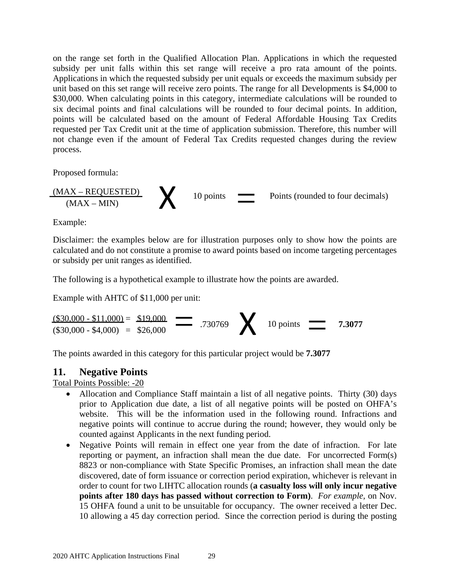on the range set forth in the Qualified Allocation Plan. Applications in which the requested subsidy per unit falls within this set range will receive a pro rata amount of the points. Applications in which the requested subsidy per unit equals or exceeds the maximum subsidy per unit based on this set range will receive zero points. The range for all Developments is \$4,000 to \$30,000. When calculating points in this category, intermediate calculations will be rounded to six decimal points and final calculations will be rounded to four decimal points. In addition, points will be calculated based on the amount of Federal Affordable Housing Tax Credits requested per Tax Credit unit at the time of application submission. Therefore, this number will not change even if the amount of Federal Tax Credits requested changes during the review process.

Proposed formula:

$$
\underbrace{(MAX - REQUESTED)}_{(MAX - MIN)} \qquad \qquad 10 \text{ points} \qquad \qquad \text{Points (rounded to four decimals)}
$$

Example:

Disclaimer: the examples below are for illustration purposes only to show how the points are calculated and do not constitute a promise to award points based on income targeting percentages or subsidy per unit ranges as identified.

The following is a hypothetical example to illustrate how the points are awarded.

Example with AHTC of \$11,000 per unit:

 $\frac{\text{($30,000 - $11,000)}}{\text{($30,000 - $4,000)}} = \frac{$19,000}{$26,000}$  = .730769  $\bigtimes$  10 points = 7.3077  $($30,000 - $11,000) = $19,000$  $($30,000 - $4,000) = $26,000$ 

The points awarded in this category for this particular project would be **7.3077**

### **11. Negative Points**

Total Points Possible: -20

- Allocation and Compliance Staff maintain a list of all negative points. Thirty (30) days prior to Application due date, a list of all negative points will be posted on OHFA's website. This will be the information used in the following round. Infractions and negative points will continue to accrue during the round; however, they would only be counted against Applicants in the next funding period.
- Negative Points will remain in effect one year from the date of infraction. For late reporting or payment, an infraction shall mean the due date. For uncorrected Form(s) 8823 or non-compliance with State Specific Promises, an infraction shall mean the date discovered, date of form issuance or correction period expiration, whichever is relevant in order to count for two LIHTC allocation rounds (**a casualty loss will only incur negative points after 180 days has passed without correction to Form)**. *For example,* on Nov. 15 OHFA found a unit to be unsuitable for occupancy. The owner received a letter Dec. 10 allowing a 45 day correction period. Since the correction period is during the posting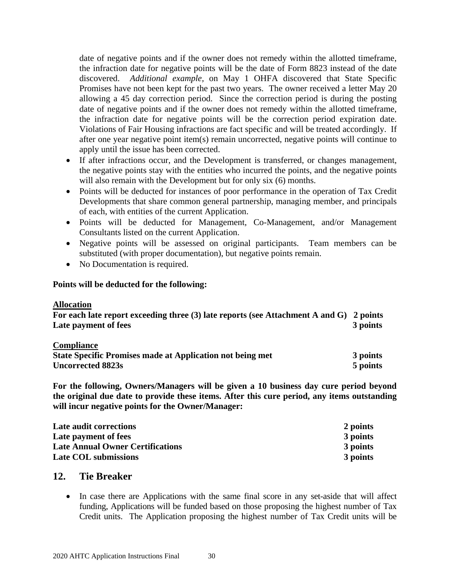date of negative points and if the owner does not remedy within the allotted timeframe, the infraction date for negative points will be the date of Form 8823 instead of the date discovered. *Additional example,* on May 1 OHFA discovered that State Specific Promises have not been kept for the past two years. The owner received a letter May 20 allowing a 45 day correction period. Since the correction period is during the posting date of negative points and if the owner does not remedy within the allotted timeframe, the infraction date for negative points will be the correction period expiration date. Violations of Fair Housing infractions are fact specific and will be treated accordingly. If after one year negative point item(s) remain uncorrected, negative points will continue to apply until the issue has been corrected.

- If after infractions occur, and the Development is transferred, or changes management, the negative points stay with the entities who incurred the points, and the negative points will also remain with the Development but for only six (6) months.
- Points will be deducted for instances of poor performance in the operation of Tax Credit Developments that share common general partnership, managing member, and principals of each, with entities of the current Application.
- Points will be deducted for Management, Co-Management, and/or Management Consultants listed on the current Application.
- Negative points will be assessed on original participants. Team members can be substituted (with proper documentation), but negative points remain.
- No Documentation is required.

### **Points will be deducted for the following:**

### **Allocation**

| For each late report exceeding three (3) late reports (see Attachment A and G) 2 points<br>Late payment of fees | 3 points |
|-----------------------------------------------------------------------------------------------------------------|----------|
| <b>Compliance</b><br>State Specific Promises made at Application not being met                                  | 3 nointe |

| <b>State Specific Promises made at Application not being met</b> | 3 points |
|------------------------------------------------------------------|----------|
| <b>Uncorrected 8823s</b>                                         | 5 points |

**For the following, Owners/Managers will be given a 10 business day cure period beyond the original due date to provide these items. After this cure period, any items outstanding will incur negative points for the Owner/Manager:**

| Late audit corrections                  | 2 points |
|-----------------------------------------|----------|
| Late payment of fees                    | 3 points |
| <b>Late Annual Owner Certifications</b> | 3 points |
| <b>Late COL submissions</b>             | 3 points |

### <span id="page-29-0"></span>**12. Tie Breaker**

• In case there are Applications with the same final score in any set-aside that will affect funding, Applications will be funded based on those proposing the highest number of Tax Credit units. The Application proposing the highest number of Tax Credit units will be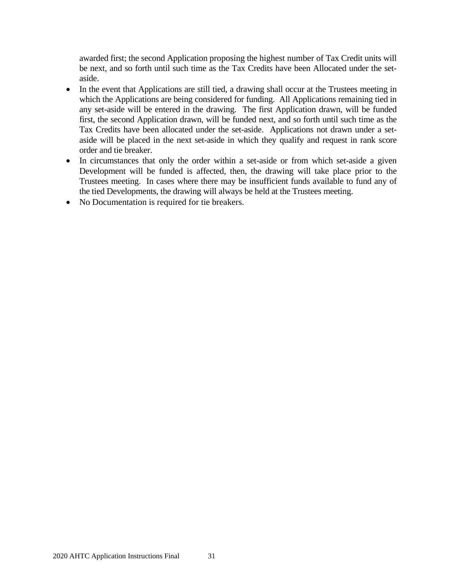awarded first; the second Application proposing the highest number of Tax Credit units will be next, and so forth until such time as the Tax Credits have been Allocated under the setaside.

- In the event that Applications are still tied, a drawing shall occur at the Trustees meeting in which the Applications are being considered for funding. All Applications remaining tied in any set-aside will be entered in the drawing. The first Application drawn, will be funded first, the second Application drawn, will be funded next, and so forth until such time as the Tax Credits have been allocated under the set-aside. Applications not drawn under a setaside will be placed in the next set-aside in which they qualify and request in rank score order and tie breaker.
- In circumstances that only the order within a set-aside or from which set-aside a given Development will be funded is affected, then, the drawing will take place prior to the Trustees meeting. In cases where there may be insufficient funds available to fund any of the tied Developments, the drawing will always be held at the Trustees meeting.
- No Documentation is required for tie breakers.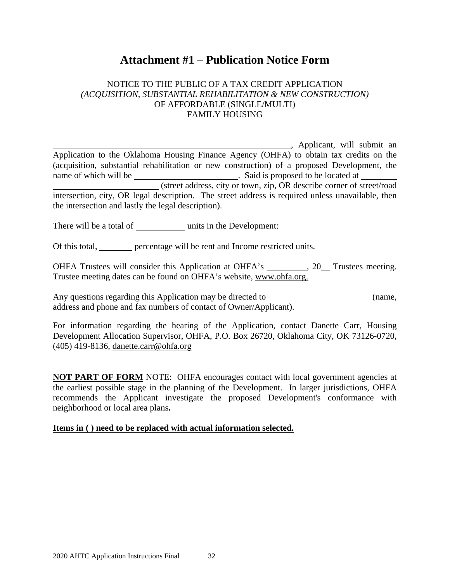## **Attachment #1 – Publication Notice Form**

### <span id="page-31-0"></span>NOTICE TO THE PUBLIC OF A TAX CREDIT APPLICATION *(ACQUISITION, SUBSTANTIAL REHABILITATION & NEW CONSTRUCTION)* OF AFFORDABLE (SINGLE/MULTI) FAMILY HOUSING

, Applicant, will submit an Application to the Oklahoma Housing Finance Agency (OHFA) to obtain tax credits on the (acquisition, substantial rehabilitation or new construction) of a proposed Development, the name of which will be \_\_\_\_\_\_\_\_\_\_\_\_\_\_\_\_\_\_\_\_\_\_\_\_\_\_\_\_\_. Said is proposed to be located at (street address, city or town, zip, OR describe corner of street/road intersection, city, OR legal description. The street address is required unless unavailable, then the intersection and lastly the legal description).

There will be a total of units in the Development:

Of this total, percentage will be rent and Income restricted units.

OHFA Trustees will consider this Application at OHFA's \_\_\_\_\_\_\_, 20\_\_ Trustees meeting. Trustee meeting dates can be found on OHFA's website, [www.ohfa.org.](http://www.ohfa.org/)

Any questions regarding this Application may be directed to (name, address and phone and fax numbers of contact of Owner/Applicant).

For information regarding the hearing of the Application, contact Danette Carr, Housing Development Allocation Supervisor, OHFA, P.O. Box 26720, Oklahoma City, OK 73126-0720, (405) 419-8136, danette.carr@ohfa.org

**NOT PART OF FORM** NOTE: OHFA encourages contact with local government agencies at the earliest possible stage in the planning of the Development. In larger jurisdictions, OHFA recommends the Applicant investigate the proposed Development's conformance with neighborhood or local area plans**.** 

### **Items in ( ) need to be replaced with actual information selected.**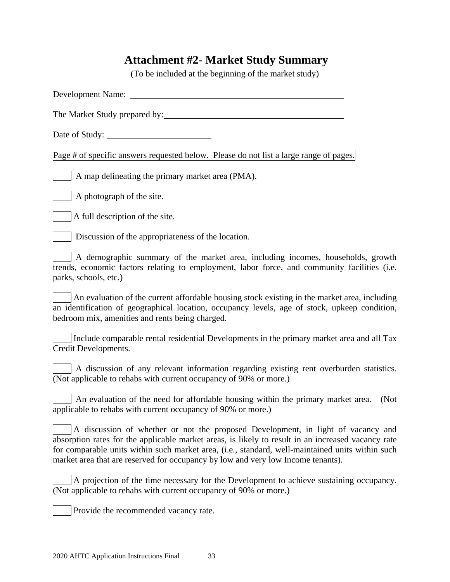## <span id="page-32-0"></span>**Attachment #2- Market Study Summary**

(To be included at the beginning of the market study)

| <b>Development Name:</b>                                                                                                                                                                                                                                                                                                                                                       |
|--------------------------------------------------------------------------------------------------------------------------------------------------------------------------------------------------------------------------------------------------------------------------------------------------------------------------------------------------------------------------------|
| The Market Study prepared by:                                                                                                                                                                                                                                                                                                                                                  |
|                                                                                                                                                                                                                                                                                                                                                                                |
| Page # of specific answers requested below. Please do not list a large range of pages.                                                                                                                                                                                                                                                                                         |
| A map delineating the primary market area (PMA).                                                                                                                                                                                                                                                                                                                               |
| A photograph of the site.                                                                                                                                                                                                                                                                                                                                                      |
| A full description of the site.                                                                                                                                                                                                                                                                                                                                                |
| Discussion of the appropriateness of the location.                                                                                                                                                                                                                                                                                                                             |
| A demographic summary of the market area, including incomes, households, growth<br>trends, economic factors relating to employment, labor force, and community facilities (i.e.<br>parks, schools, etc.)                                                                                                                                                                       |
| An evaluation of the current affordable housing stock existing in the market area, including<br>an identification of geographical location, occupancy levels, age of stock, upkeep condition,<br>bedroom mix, amenities and rents being charged.                                                                                                                               |
| Include comparable rental residential Developments in the primary market area and all Tax<br>Credit Developments.                                                                                                                                                                                                                                                              |
| A discussion of any relevant information regarding existing rent overburden statistics.<br>(Not applicable to rehabs with current occupancy of 90% or more.)                                                                                                                                                                                                                   |
| An evaluation of the need for affordable housing within the primary market area.<br>(Not<br>applicable to rehabs with current occupancy of 90% or more.)                                                                                                                                                                                                                       |
| A discussion of whether or not the proposed Development, in light of vacancy and<br>absorption rates for the applicable market areas, is likely to result in an increased vacancy rate<br>for comparable units within such market area, (i.e., standard, well-maintained units within such<br>market area that are reserved for occupancy by low and very low Income tenants). |
| A projection of the time necessary for the Development to achieve sustaining occupancy.<br>(Not applicable to rehabs with current occupancy of 90% or more.)                                                                                                                                                                                                                   |
| Provide the recommended vacancy rate.                                                                                                                                                                                                                                                                                                                                          |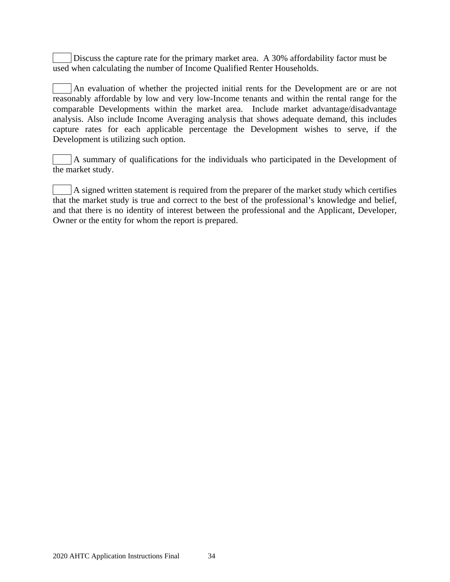Discuss the capture rate for the primary market area. A 30% affordability factor must be used when calculating the number of Income Qualified Renter Households.

An evaluation of whether the projected initial rents for the Development are or are not reasonably affordable by low and very low-Income tenants and within the rental range for the comparable Developments within the market area. Include market advantage/disadvantage analysis. Also include Income Averaging analysis that shows adequate demand, this includes capture rates for each applicable percentage the Development wishes to serve, if the Development is utilizing such option.

A summary of qualifications for the individuals who participated in the Development of the market study.

A signed written statement is required from the preparer of the market study which certifies that the market study is true and correct to the best of the professional's knowledge and belief, and that there is no identity of interest between the professional and the Applicant, Developer, Owner or the entity for whom the report is prepared.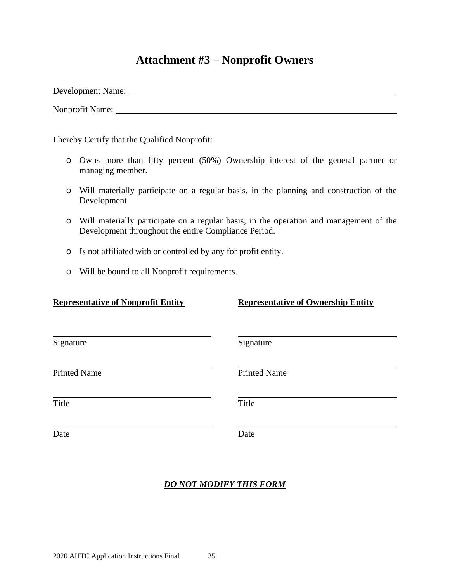## **Attachment #3 – Nonprofit Owners**

<span id="page-34-0"></span>Development Name:

Nonprofit Name:

I hereby Certify that the Qualified Nonprofit:

- o Owns more than fifty percent (50%) Ownership interest of the general partner or managing member.
- o Will materially participate on a regular basis, in the planning and construction of the Development.
- o Will materially participate on a regular basis, in the operation and management of the Development throughout the entire Compliance Period.
- o Is not affiliated with or controlled by any for profit entity.
- o Will be bound to all Nonprofit requirements.

**Representative of Ownership Entity** 

| Signature           | Signature           |  |
|---------------------|---------------------|--|
| <b>Printed Name</b> | <b>Printed Name</b> |  |
| Title               | Title               |  |
| Date                | Date                |  |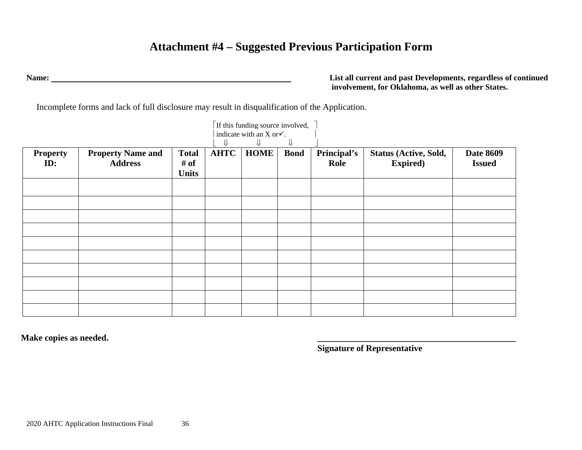## **Attachment #4 – Suggested Previous Participation Form**

**Name: List all current and past Developments, regardless of continued involvement, for Oklahoma, as well as other States.**

Incomplete forms and lack of full disclosure may result in disqualification of the Application.

<span id="page-35-0"></span>

|                        |                                            |                                      | ⇓           | $\lceil$ If this funding source involved, $\lceil$<br>indicate with an X or $\checkmark$ . |             |                     |                                           |                                   |
|------------------------|--------------------------------------------|--------------------------------------|-------------|--------------------------------------------------------------------------------------------|-------------|---------------------|-------------------------------------------|-----------------------------------|
| <b>Property</b><br>ID: | <b>Property Name and</b><br><b>Address</b> | <b>Total</b><br># of<br><b>Units</b> | <b>AHTC</b> | <b>HOME</b>                                                                                | <b>Bond</b> | Principal's<br>Role | Status (Active, Sold,<br><b>Expired</b> ) | <b>Date 8609</b><br><b>Issued</b> |
|                        |                                            |                                      |             |                                                                                            |             |                     |                                           |                                   |
|                        |                                            |                                      |             |                                                                                            |             |                     |                                           |                                   |
|                        |                                            |                                      |             |                                                                                            |             |                     |                                           |                                   |
|                        |                                            |                                      |             |                                                                                            |             |                     |                                           |                                   |
|                        |                                            |                                      |             |                                                                                            |             |                     |                                           |                                   |

**Make copies as needed. \_\_\_\_\_\_\_\_\_\_\_\_\_\_\_\_\_\_\_\_\_\_\_\_\_\_\_\_\_\_\_\_\_\_\_\_\_\_\_\_\_\_\_\_\_**

**Signature of Representative**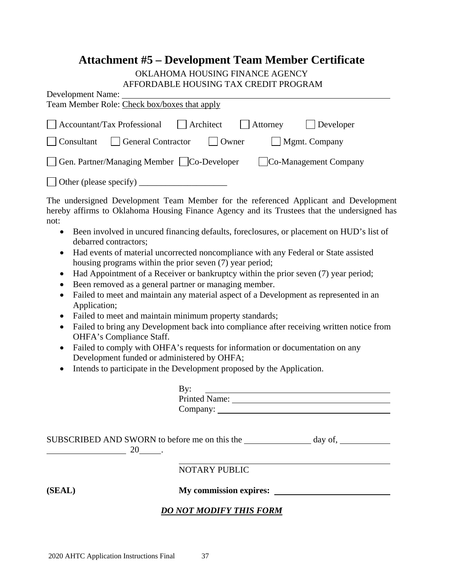# **Attachment #5 – Development Team Member Certificate**

#### OKLAHOMA HOUSING FINANCE AGENCY AFFORDABLE HOUSING TAX CREDIT PROGRAM

<span id="page-36-0"></span>

| AFFORDABLE HOUSING TAX CREDIT PROGRAM<br><b>Development Name:</b>                                                                                                                                                                                                                                                                                                                                                                                                                                                                                                                                                                                                                                                                                                                                                                                                                                                                                                                                                                                                                                                                                                                                                                 |
|-----------------------------------------------------------------------------------------------------------------------------------------------------------------------------------------------------------------------------------------------------------------------------------------------------------------------------------------------------------------------------------------------------------------------------------------------------------------------------------------------------------------------------------------------------------------------------------------------------------------------------------------------------------------------------------------------------------------------------------------------------------------------------------------------------------------------------------------------------------------------------------------------------------------------------------------------------------------------------------------------------------------------------------------------------------------------------------------------------------------------------------------------------------------------------------------------------------------------------------|
| Team Member Role: Check box/boxes that apply                                                                                                                                                                                                                                                                                                                                                                                                                                                                                                                                                                                                                                                                                                                                                                                                                                                                                                                                                                                                                                                                                                                                                                                      |
| Architect<br>$\Box$ Developer<br><b>Accountant/Tax Professional</b><br>Attorney<br>$\Box$ Owner<br>General Contractor<br>Mgmt. Company<br>Consultant<br>Gen. Partner/Managing Member   Co-Developer<br>$\Box$ Co-Management Company                                                                                                                                                                                                                                                                                                                                                                                                                                                                                                                                                                                                                                                                                                                                                                                                                                                                                                                                                                                               |
|                                                                                                                                                                                                                                                                                                                                                                                                                                                                                                                                                                                                                                                                                                                                                                                                                                                                                                                                                                                                                                                                                                                                                                                                                                   |
| The undersigned Development Team Member for the referenced Applicant and Development<br>hereby affirms to Oklahoma Housing Finance Agency and its Trustees that the undersigned has<br>not:<br>Been involved in uncured financing defaults, foreclosures, or placement on HUD's list of<br>$\bullet$<br>debarred contractors;<br>Had events of material uncorrected noncompliance with any Federal or State assisted<br>$\bullet$<br>housing programs within the prior seven (7) year period;<br>Had Appointment of a Receiver or bankruptcy within the prior seven (7) year period;<br>$\bullet$<br>Been removed as a general partner or managing member.<br>$\bullet$<br>Failed to meet and maintain any material aspect of a Development as represented in an<br>$\bullet$<br>Application;<br>Failed to meet and maintain minimum property standards;<br>$\bullet$<br>Failed to bring any Development back into compliance after receiving written notice from<br>$\bullet$<br>OHFA's Compliance Staff.<br>Failed to comply with OHFA's requests for information or documentation on any<br>$\bullet$<br>Development funded or administered by OHFA;<br>Intends to participate in the Development proposed by the Application. |
| $\mathbf{B} \mathbf{v}$ :<br>Printed Name:                                                                                                                                                                                                                                                                                                                                                                                                                                                                                                                                                                                                                                                                                                                                                                                                                                                                                                                                                                                                                                                                                                                                                                                        |
|                                                                                                                                                                                                                                                                                                                                                                                                                                                                                                                                                                                                                                                                                                                                                                                                                                                                                                                                                                                                                                                                                                                                                                                                                                   |
| SUBSCRIBED AND SWORN to before me on this the<br>day of,                                                                                                                                                                                                                                                                                                                                                                                                                                                                                                                                                                                                                                                                                                                                                                                                                                                                                                                                                                                                                                                                                                                                                                          |

NOTARY PUBLIC

**(SEAL) My commission expires:** 

### *DO NOT MODIFY THIS FORM*

 $\frac{20}{100}$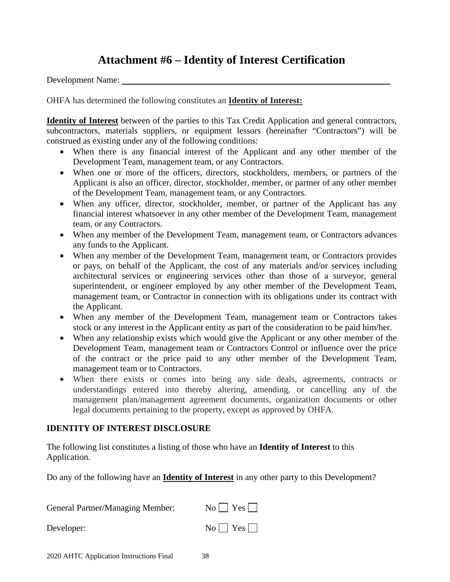## **Attachment #6 – Identity of Interest Certification**

<span id="page-37-0"></span>Development Name:

OHFA has determined the following constitutes an **Identity of Interest:**

**Identity of Interest** between of the parties to this Tax Credit Application and general contractors, subcontractors, materials suppliers, or equipment lessors (hereinafter "Contractors") will be construed as existing under any of the following conditions:

- When there is any financial interest of the Applicant and any other member of the Development Team, management team, or any Contractors.
- When one or more of the officers, directors, stockholders, members, or partners of the Applicant is also an officer, director, stockholder, member, or partner of any other member of the Development Team, management team, or any Contractors.
- When any officer, director, stockholder, member, or partner of the Applicant has any financial interest whatsoever in any other member of the Development Team, management team, or any Contractors.
- When any member of the Development Team, management team, or Contractors advances any funds to the Applicant.
- When any member of the Development Team, management team, or Contractors provides or pays, on behalf of the Applicant, the cost of any materials and/or services including architectural services or engineering services other than those of a surveyor, general superintendent, or engineer employed by any other member of the Development Team, management team, or Contractor in connection with its obligations under its contract with the Applicant.
- When any member of the Development Team, management team or Contractors takes stock or any interest in the Applicant entity as part of the consideration to be paid him/her.
- When any relationship exists which would give the Applicant or any other member of the Development Team, management team or Contractors Control or influence over the price of the contract or the price paid to any other member of the Development Team, management team or to Contractors.
- When there exists or comes into being any side deals, agreements, contracts or understandings entered into thereby altering, amending, or cancelling any of the management plan/management agreement documents, organization documents or other legal documents pertaining to the property, except as approved by OHFA.

### **IDENTITY OF INTEREST DISCLOSURE**

The following list constitutes a listing of those who have an **Identity of Interest** to this Application.

Do any of the following have an **Identity of Interest** in any other party to this Development?

| General Partner/Managing Member: | $No \bigcap Yes \bigcap$ |
|----------------------------------|--------------------------|
| Developer:                       | $No \bigcap Yes \bigcap$ |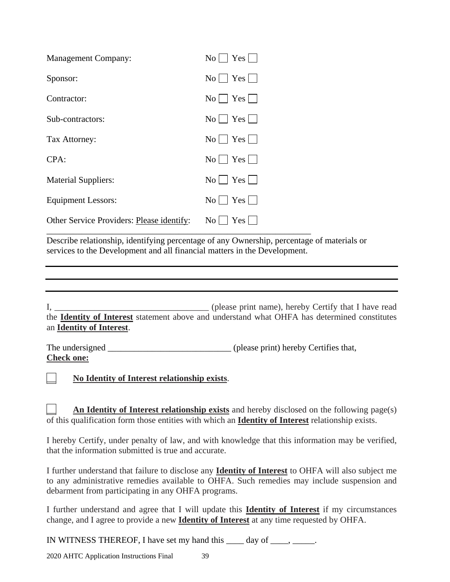| <b>Management Company:</b>                | $\text{No}$   Yes                                                            |
|-------------------------------------------|------------------------------------------------------------------------------|
| Sponsor:                                  | $\text{No}$   $\text{Yes}$                                                   |
| Contractor:                               | $\text{No}$   $\text{Yes}$                                                   |
| Sub-contractors:                          | $\text{No}$   $\text{Yes}$                                                   |
| Tax Attorney:                             | $\text{No}$   $\text{Yes}$                                                   |
| CPA:                                      | $\text{No}$   Yes                                                            |
| <b>Material Suppliers:</b>                | $\text{No}$   $\text{Yes}$                                                   |
| <b>Equipment Lessors:</b>                 | $\overline{N_0}$ $\overline{Y}$ $\overline{Y}$ $\overline{S}$ $\overline{Y}$ |
| Other Service Providers: Please identify: | Yes <br>$\rm{No}$                                                            |

Describe relationship, identifying percentage of any Ownership, percentage of materials or services to the Development and all financial matters in the Development.

I*,* \_\_\_\_\_\_\_\_\_\_\_\_\_\_\_\_\_\_\_\_\_\_\_\_\_\_\_\_\_\_\_\_\_\_\_ (please print name), hereby Certify that I have read the **Identity of Interest** statement above and understand what OHFA has determined constitutes an **Identity of Interest**.

The undersigned (please print) hereby Certifies that, **Check one:**

\_\_ **No Identity of Interest relationship exists**.

An Identity of Interest relationship exists and hereby disclosed on the following page(s) of this qualification form those entities with which an **Identity of Interest** relationship exists.

I hereby Certify, under penalty of law, and with knowledge that this information may be verified, that the information submitted is true and accurate.

I further understand that failure to disclose any **Identity of Interest** to OHFA will also subject me to any administrative remedies available to OHFA. Such remedies may include suspension and debarment from participating in any OHFA programs.

I further understand and agree that I will update this **Identity of Interest** if my circumstances change, and I agree to provide a new **Identity of Interest** at any time requested by OHFA.

IN WITNESS THEREOF, I have set my hand this \_\_\_\_ day of \_\_\_\_, \_\_\_\_\_.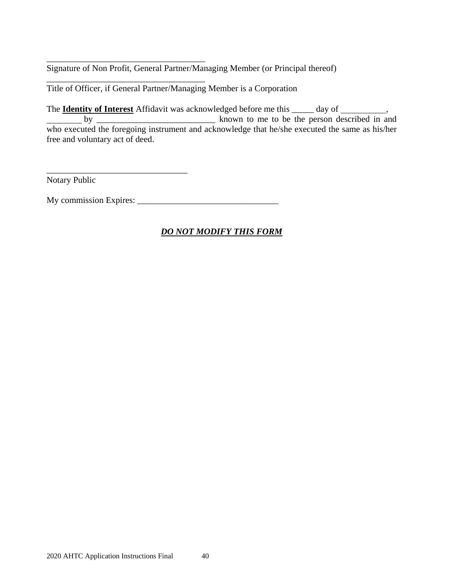\_\_\_\_\_\_\_\_\_\_\_\_\_\_\_\_\_\_\_\_\_\_\_\_\_\_\_\_\_\_\_\_\_\_\_\_ Signature of Non Profit, General Partner/Managing Member (or Principal thereof)

Title of Officer, if General Partner/Managing Member is a Corporation

\_\_\_\_\_\_\_\_\_\_\_\_\_\_\_\_\_\_\_\_\_\_\_\_\_\_\_\_\_\_\_\_\_\_\_\_

\_\_\_\_\_\_\_\_\_\_\_\_\_\_\_\_\_\_\_\_\_\_\_\_\_\_\_\_\_\_\_\_

The **Identity of Interest** Affidavit was acknowledged before me this \_\_\_\_\_ day of \_\_\_\_\_\_\_\_\_, by \_\_\_\_\_\_\_\_\_\_\_\_\_\_\_\_\_\_\_\_\_\_\_\_\_\_\_ known to me to be the person described in and who executed the foregoing instrument and acknowledge that he/she executed the same as his/her free and voluntary act of deed.

Notary Public

My commission Expires: \_\_\_\_\_\_\_\_\_\_\_\_\_\_\_\_\_\_\_\_\_\_\_\_\_\_\_\_\_\_\_\_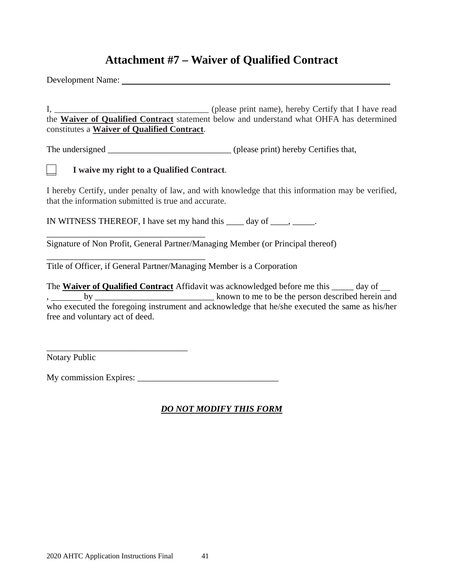## **Attachment #7 – Waiver of Qualified Contract**

<span id="page-40-0"></span>Development Name:

I*,* \_\_\_\_\_\_\_\_\_\_\_\_\_\_\_\_\_\_\_\_\_\_\_\_\_\_\_\_\_\_\_\_\_\_\_ (please print name), hereby Certify that I have read the **Waiver of Qualified Contract** statement below and understand what OHFA has determined constitutes a **Waiver of Qualified Contract**.

The undersigned \_\_\_\_\_\_\_\_\_\_\_\_\_\_\_\_\_\_\_\_\_\_\_\_\_\_\_\_ (please print) hereby Certifies that,

\_\_ **I waive my right to a Qualified Contract**.

\_\_\_\_\_\_\_\_\_\_\_\_\_\_\_\_\_\_\_\_\_\_\_\_\_\_\_\_\_\_\_\_\_\_\_\_

\_\_\_\_\_\_\_\_\_\_\_\_\_\_\_\_\_\_\_\_\_\_\_\_\_\_\_\_\_\_\_\_\_\_\_\_

\_\_\_\_\_\_\_\_\_\_\_\_\_\_\_\_\_\_\_\_\_\_\_\_\_\_\_\_\_\_\_\_

I hereby Certify, under penalty of law, and with knowledge that this information may be verified, that the information submitted is true and accurate.

IN WITNESS THEREOF, I have set my hand this  $\qquad \qquad$  day of  $\qquad \qquad$ .

Signature of Non Profit, General Partner/Managing Member (or Principal thereof)

Title of Officer, if General Partner/Managing Member is a Corporation

The **Waiver of Qualified Contract** Affidavit was acknowledged before me this \_\_\_\_\_ day of , by <u>second the set of the set of the person described herein</u> and who executed the foregoing instrument and acknowledge that he/she executed the same as his/her free and voluntary act of deed.

Notary Public

My commission Expires: \_\_\_\_\_\_\_\_\_\_\_\_\_\_\_\_\_\_\_\_\_\_\_\_\_\_\_\_\_\_\_\_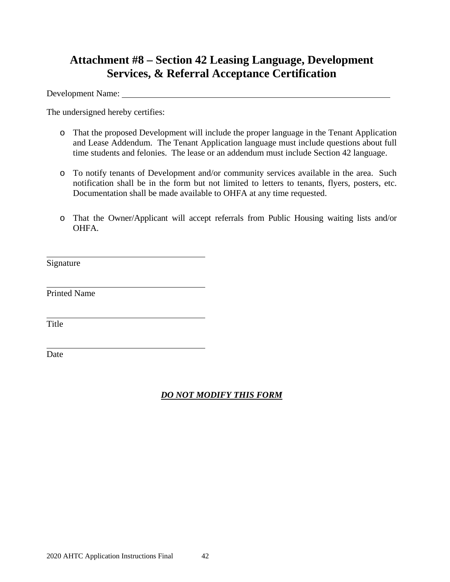## **Attachment #8 – Section 42 Leasing Language, Development Services, & Referral Acceptance Certification**

Development Name:

The undersigned hereby certifies:

- o That the proposed Development will include the proper language in the Tenant Application and Lease Addendum. The Tenant Application language must include questions about full time students and felonies. The lease or an addendum must include Section 42 language.
- o To notify tenants of Development and/or community services available in the area. Such notification shall be in the form but not limited to letters to tenants, flyers, posters, etc. Documentation shall be made available to OHFA at any time requested.
- o That the Owner/Applicant will accept referrals from Public Housing waiting lists and/or OHFA.

Signature

Printed Name

Title

Date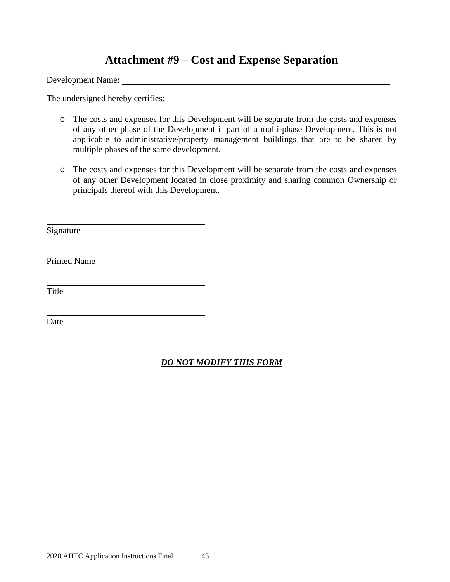## **Attachment #9 – Cost and Expense Separation**

<span id="page-42-0"></span>Development Name:

The undersigned hereby certifies:

- o The costs and expenses for this Development will be separate from the costs and expenses of any other phase of the Development if part of a multi-phase Development. This is not applicable to administrative/property management buildings that are to be shared by multiple phases of the same development.
- o The costs and expenses for this Development will be separate from the costs and expenses of any other Development located in close proximity and sharing common Ownership or principals thereof with this Development.

Signature

Printed Name

Title

Date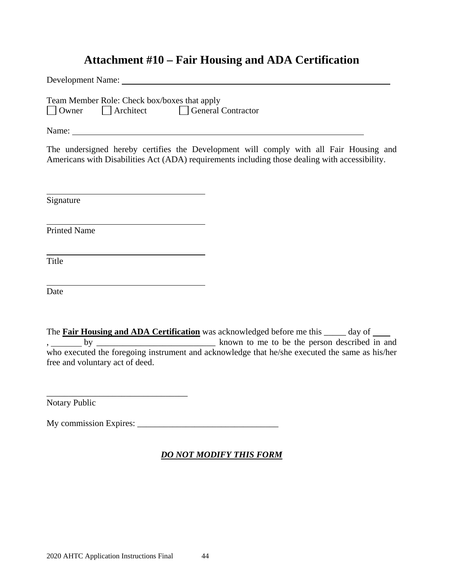## **Attachment #10 – Fair Housing and ADA Certification**

<span id="page-43-0"></span>

| Team Member Role: Check box/boxes that apply<br>□ Owner □ Architect □ General Contractor                                                                                                                                             |
|--------------------------------------------------------------------------------------------------------------------------------------------------------------------------------------------------------------------------------------|
|                                                                                                                                                                                                                                      |
| The undersigned hereby certifies the Development will comply with all Fair Housing and<br>Americans with Disabilities Act (ADA) requirements including those dealing with accessibility.                                             |
| Signature                                                                                                                                                                                                                            |
| <b>Printed Name</b>                                                                                                                                                                                                                  |
| Title                                                                                                                                                                                                                                |
| Date                                                                                                                                                                                                                                 |
| The <b>Fair Housing and ADA Certification</b> was acknowledged before me this _____ day of ____<br>who executed the foregoing instrument and acknowledge that he/she executed the same as his/her<br>free and voluntary act of deed. |

Notary Public

My commission Expires: \_\_\_\_\_\_\_\_\_\_\_\_\_\_\_\_\_\_\_\_\_\_\_\_\_\_\_\_\_\_\_\_

### *DO NOT MODIFY THIS FORM*

\_\_\_\_\_\_\_\_\_\_\_\_\_\_\_\_\_\_\_\_\_\_\_\_\_\_\_\_\_\_\_\_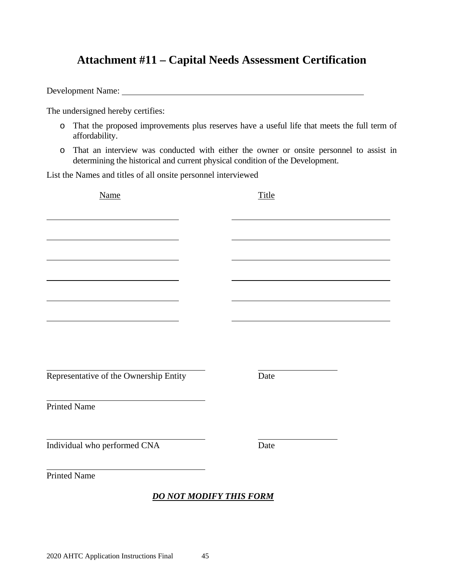## <span id="page-44-0"></span>**Attachment #11 – Capital Needs Assessment Certification**

Development Name:

The undersigned hereby certifies:

- o That the proposed improvements plus reserves have a useful life that meets the full term of affordability.
- o That an interview was conducted with either the owner or onsite personnel to assist in determining the historical and current physical condition of the Development.

List the Names and titles of all onsite personnel interviewed

| Name                                   |  | Title |  |  |  |
|----------------------------------------|--|-------|--|--|--|
|                                        |  |       |  |  |  |
|                                        |  |       |  |  |  |
|                                        |  |       |  |  |  |
|                                        |  |       |  |  |  |
|                                        |  |       |  |  |  |
|                                        |  |       |  |  |  |
|                                        |  |       |  |  |  |
|                                        |  |       |  |  |  |
| Representative of the Ownership Entity |  | Date  |  |  |  |
| <b>Printed Name</b>                    |  |       |  |  |  |
| Individual who performed CNA           |  | Date  |  |  |  |
|                                        |  |       |  |  |  |
| <b>Printed Name</b>                    |  |       |  |  |  |
| <b>DO NOT MODIFY THIS FORM</b>         |  |       |  |  |  |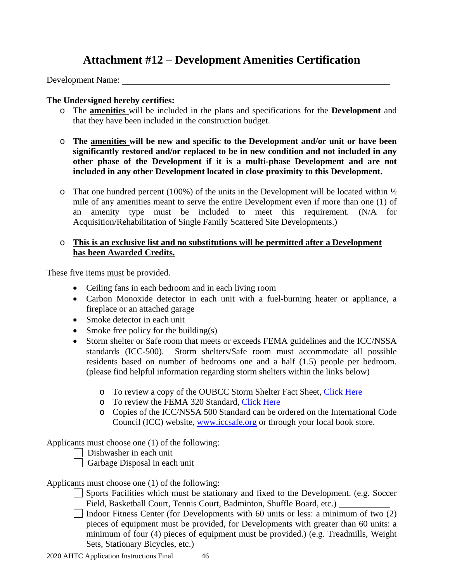## **Attachment #12 – Development Amenities Certification**

<span id="page-45-0"></span>Development Name:

### **The Undersigned hereby certifies:**

- o The **amenities** will be included in the plans and specifications for the **Development** and that they have been included in the construction budget.
- o **The amenities will be new and specific to the Development and/or unit or have been significantly restored and/or replaced to be in new condition and not included in any other phase of the Development if it is a multi-phase Development and are not included in any other Development located in close proximity to this Development.**
- o That one hundred percent (100%) of the units in the Development will be located within  $\frac{1}{2}$ mile of any amenities meant to serve the entire Development even if more than one (1) of an amenity type must be included to meet this requirement. (N/A for Acquisition/Rehabilitation of Single Family Scattered Site Developments.)

### o **This is an exclusive list and no substitutions will be permitted after a Development has been Awarded Credits.**

These five items must be provided.

- Ceiling fans in each bedroom and in each living room
- Carbon Monoxide detector in each unit with a fuel-burning heater or appliance, a fireplace or an attached garage
- Smoke detector in each unit
- Smoke free policy for the building(s)
- Storm shelter or Safe room that meets or exceeds FEMA guidelines and the ICC/NSSA standards (ICC-500). Storm shelters/Safe room must accommodate all possible residents based on number of bedrooms one and a half (1.5) people per bedroom. (please find helpful information regarding storm shelters within the links below)
	- o To review a copy of the OUBCC Storm Shelter Fact Sheet, [Click Here](https://www.ok.gov/oubcc/documents/Revised%20Storm%20Shelter%20Fact%20Sheet.pdf)
	- o To review the FEMA 320 Standard, [Click Here](http://www.fema.gov/library/viewRecord.do?id=1536)
	- o Copies of the ICC/NSSA 500 Standard can be ordered on the International Code Council (ICC) website, [www.iccsafe.org](http://www.iccsafe.org/) or through your local book store.

Applicants must choose one (1) of the following:

Dishwasher in each unit

Garbage Disposal in each unit

Applicants must choose one (1) of the following:

- Sports Facilities which must be stationary and fixed to the Development. (e.g. Soccer Field, Basketball Court, Tennis Court, Badminton, Shuffle Board, etc.)
- $\Box$  Indoor Fitness Center (for Developments with 60 units or less: a minimum of two (2) pieces of equipment must be provided, for Developments with greater than 60 units: a minimum of four (4) pieces of equipment must be provided.) (e.g. Treadmills, Weight Sets, Stationary Bicycles, etc.)

2020 AHTC Application Instructions Final 46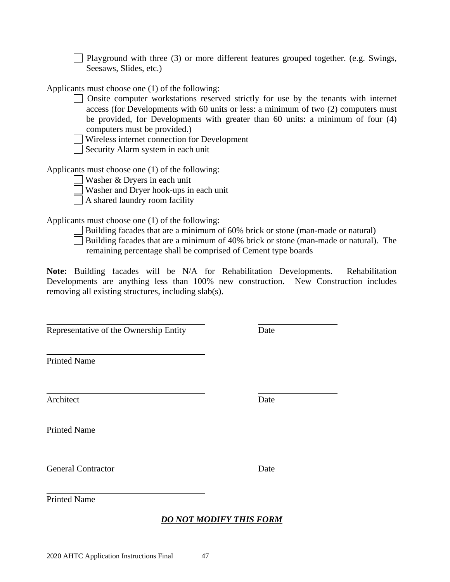computers must be provided.) Wireless internet connection for Development

Playground with three  $(3)$  or more different features grouped together. (e.g. Swings,

Onsite computer workstations reserved strictly for use by the tenants with internet access (for Developments with 60 units or less: a minimum of two (2) computers must be provided, for Developments with greater than 60 units: a minimum of four (4)

Security Alarm system in each unit

Applicants must choose one (1) of the following:

Seesaws, Slides, etc.)

Applicants must choose one (1) of the following:

Washer & Dryers in each unit

Washer and Dryer hook-ups in each unit

A shared laundry room facility

Applicants must choose one (1) of the following:

- $\Box$  Building facades that are a minimum of 60% brick or stone (man-made or natural)
- Building facades that are a minimum of 40% brick or stone (man-made or natural). The remaining percentage shall be comprised of Cement type boards

**Note:** Building facades will be N/A for Rehabilitation Developments. Rehabilitation Developments are anything less than 100% new construction. New Construction includes removing all existing structures, including slab(s).

Representative of the Ownership Entity Date

Printed Name

Architect Date

Printed Name

General Contractor Date

Printed Name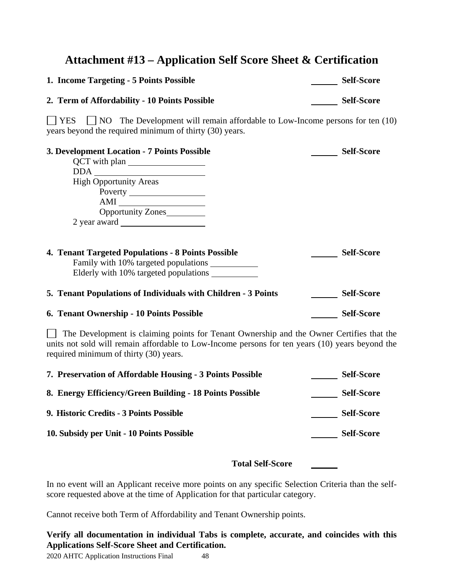## <span id="page-47-0"></span>**Attachment #13 – Application Self Score Sheet & Certification**

| 1. Income Targeting - 5 Points Possible                                                                                                                                                                                               | <b>Self-Score</b> |
|---------------------------------------------------------------------------------------------------------------------------------------------------------------------------------------------------------------------------------------|-------------------|
| 2. Term of Affordability - 10 Points Possible                                                                                                                                                                                         | <b>Self-Score</b> |
| YES<br>$\Box$ NO The Development will remain affordable to Low-Income persons for ten (10)<br>years beyond the required minimum of thirty (30) years.                                                                                 |                   |
| 3. Development Location - 7 Points Possible                                                                                                                                                                                           | <b>Self-Score</b> |
| QCT with plan                                                                                                                                                                                                                         |                   |
| $DDA$ $\overline{\phantom{a}}$                                                                                                                                                                                                        |                   |
| <b>High Opportunity Areas</b>                                                                                                                                                                                                         |                   |
|                                                                                                                                                                                                                                       |                   |
| $AMI$                                                                                                                                                                                                                                 |                   |
| Opportunity Zones                                                                                                                                                                                                                     |                   |
| 2 year award                                                                                                                                                                                                                          |                   |
| <b>4. Tenant Targeted Populations - 8 Points Possible</b>                                                                                                                                                                             | <b>Self-Score</b> |
| 5. Tenant Populations of Individuals with Children - 3 Points                                                                                                                                                                         | <b>Self-Score</b> |
| 6. Tenant Ownership - 10 Points Possible                                                                                                                                                                                              | <b>Self-Score</b> |
| The Development is claiming points for Tenant Ownership and the Owner Certifies that the<br>units not sold will remain affordable to Low-Income persons for ten years (10) years beyond the<br>required minimum of thirty (30) years. |                   |
| 7. Preservation of Affordable Housing - 3 Points Possible                                                                                                                                                                             | <b>Self-Score</b> |
| 8. Energy Efficiency/Green Building - 18 Points Possible                                                                                                                                                                              | <b>Self-Score</b> |
| 9. Historic Credits - 3 Points Possible                                                                                                                                                                                               | <b>Self-Score</b> |

10. Subsidy per Unit **-** 10 Points Possible Self-Score

**Total Self-Score** 

In no event will an Applicant receive more points on any specific Selection Criteria than the selfscore requested above at the time of Application for that particular category.

Cannot receive both Term of Affordability and Tenant Ownership points.

**Verify all documentation in individual Tabs is complete, accurate, and coincides with this Applications Self-Score Sheet and Certification.**

2020 AHTC Application Instructions Final 48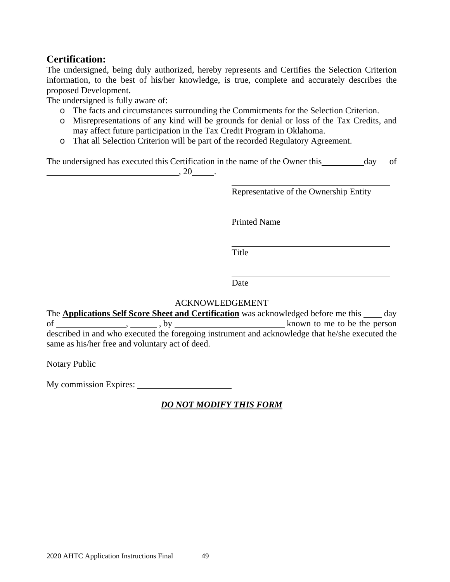### **Certification:**

The undersigned, being duly authorized, hereby represents and Certifies the Selection Criterion information, to the best of his/her knowledge, is true, complete and accurately describes the proposed Development.

The undersigned is fully aware of:

- o The facts and circumstances surrounding the Commitments for the Selection Criterion.
- o Misrepresentations of any kind will be grounds for denial or loss of the Tax Credits, and may affect future participation in the Tax Credit Program in Oklahoma.
- o That all Selection Criterion will be part of the recorded Regulatory Agreement.

The undersigned has executed this Certification in the name of the Owner this day of  $, 20$   $.$ 

Representative of the Ownership Entity

Printed Name

**Title** 

Date

### ACKNOWLEDGEMENT

The **Applications Self Score Sheet and Certification** was acknowledged before me this day of , , by known to me to be the person described in and who executed the foregoing instrument and acknowledge that he/she executed the same as his/her free and voluntary act of deed.

Notary Public

My commission Expires: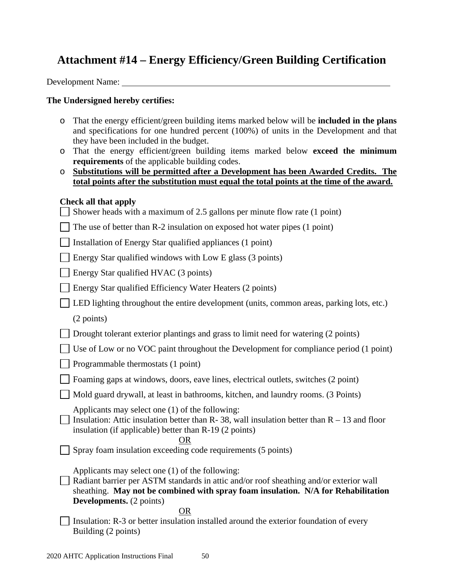## <span id="page-49-0"></span>**Attachment #14 – Energy Efficiency/Green Building Certification**

Development Name:

### **The Undersigned hereby certifies:**

- o That the energy efficient/green building items marked below will be **included in the plans**  and specifications for one hundred percent (100%) of units in the Development and that they have been included in the budget.
- o That the energy efficient/green building items marked below **exceed the minimum requirements** of the applicable building codes.
- o **Substitutions will be permitted after a Development has been Awarded Credits. The total points after the substitution must equal the total points at the time of the award.**

### **Check all that apply**

| Shower heads with a maximum of 2.5 gallons per minute flow rate (1 point)                                                                                                                                                                                         |
|-------------------------------------------------------------------------------------------------------------------------------------------------------------------------------------------------------------------------------------------------------------------|
| The use of better than R-2 insulation on exposed hot water pipes (1 point)                                                                                                                                                                                        |
| Installation of Energy Star qualified appliances (1 point)                                                                                                                                                                                                        |
| Energy Star qualified windows with Low E glass (3 points)                                                                                                                                                                                                         |
| Energy Star qualified HVAC (3 points)                                                                                                                                                                                                                             |
| Energy Star qualified Efficiency Water Heaters (2 points)                                                                                                                                                                                                         |
| LED lighting throughout the entire development (units, common areas, parking lots, etc.)                                                                                                                                                                          |
| (2 points)                                                                                                                                                                                                                                                        |
| Drought tolerant exterior plantings and grass to limit need for watering (2 points)                                                                                                                                                                               |
| Use of Low or no VOC paint throughout the Development for compliance period (1 point)                                                                                                                                                                             |
| Programmable thermostats (1 point)                                                                                                                                                                                                                                |
| Foaming gaps at windows, doors, eave lines, electrical outlets, switches (2 point)                                                                                                                                                                                |
| Mold guard drywall, at least in bathrooms, kitchen, and laundry rooms. (3 Points)                                                                                                                                                                                 |
| Applicants may select one (1) of the following:<br>Insulation: Attic insulation better than R- 38, wall insulation better than $R - 13$ and floor<br>insulation (if applicable) better than R-19 (2 points)<br>OR                                                 |
| Spray foam insulation exceeding code requirements (5 points)                                                                                                                                                                                                      |
| Applicants may select one (1) of the following:<br>Radiant barrier per ASTM standards in attic and/or roof sheathing and/or exterior wall<br>sheathing. May not be combined with spray foam insulation. N/A for Rehabilitation<br><b>Developments.</b> (2 points) |
| OR<br>Insulation: R-3 or better insulation installed around the exterior foundation of every<br>Building (2 points)                                                                                                                                               |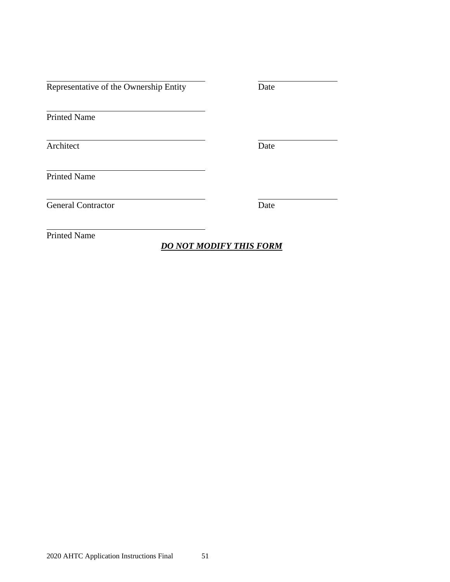Representative of the Ownership Entity Date

Printed Name

Architect Date

Printed Name

General Contractor Date

Printed Name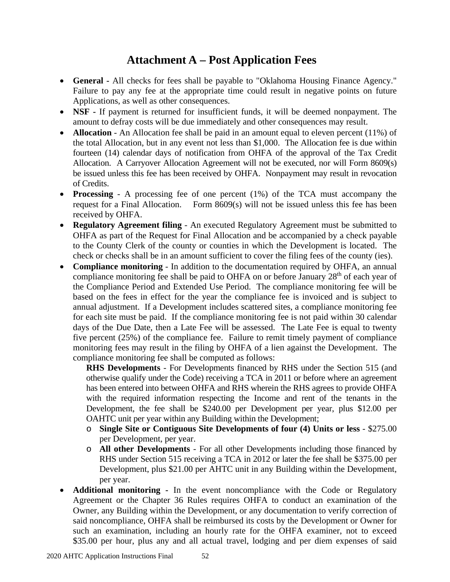## **Attachment A – Post Application Fees**

- <span id="page-51-0"></span>• **General -** All checks for fees shall be payable to "Oklahoma Housing Finance Agency." Failure to pay any fee at the appropriate time could result in negative points on future Applications, as well as other consequences.
- **NSF -** If payment is returned for insufficient funds, it will be deemed nonpayment. The amount to defray costs will be due immediately and other consequences may result.
- **Allocation** An Allocation fee shall be paid in an amount equal to eleven percent (11%) of the total Allocation, but in any event not less than \$1,000. The Allocation fee is due within fourteen (14) calendar days of notification from OHFA of the approval of the Tax Credit Allocation. A Carryover Allocation Agreement will not be executed, nor will Form 8609(s) be issued unless this fee has been received by OHFA. Nonpayment may result in revocation of Credits.
- **Processing** A processing fee of one percent (1%) of the TCA must accompany the request for a Final Allocation. Form 8609(s) will not be issued unless this fee has been received by OHFA.
- **Regulatory Agreement filing** An executed Regulatory Agreement must be submitted to OHFA as part of the Request for Final Allocation and be accompanied by a check payable to the County Clerk of the county or counties in which the Development is located. The check or checks shall be in an amount sufficient to cover the filing fees of the county (ies).
- **Compliance monitoring** In addition to the documentation required by OHFA, an annual compliance monitoring fee shall be paid to OHFA on or before January  $28<sup>th</sup>$  of each year of the Compliance Period and Extended Use Period. The compliance monitoring fee will be based on the fees in effect for the year the compliance fee is invoiced and is subject to annual adjustment. If a Development includes scattered sites, a compliance monitoring fee for each site must be paid. If the compliance monitoring fee is not paid within 30 calendar days of the Due Date, then a Late Fee will be assessed. The Late Fee is equal to twenty five percent (25%) of the compliance fee. Failure to remit timely payment of compliance monitoring fees may result in the filing by OHFA of a lien against the Development. The compliance monitoring fee shall be computed as follows:

**RHS Developments** - For Developments financed by RHS under the Section 515 (and otherwise qualify under the Code) receiving a TCA in 2011 or before where an agreement has been entered into between OHFA and RHS wherein the RHS agrees to provide OHFA with the required information respecting the Income and rent of the tenants in the Development, the fee shall be \$240.00 per Development per year, plus \$12.00 per OAHTC unit per year within any Building within the Development;

- o **Single Site or Contiguous Site Developments of four (4) Units or less** \$275.00 per Development, per year.
- o **All other Developments** For all other Developments including those financed by RHS under Section 515 receiving a TCA in 2012 or later the fee shall be \$375.00 per Development, plus \$21.00 per AHTC unit in any Building within the Development, per year.
- **Additional monitoring -** In the event noncompliance with the Code or Regulatory Agreement or the Chapter 36 Rules requires OHFA to conduct an examination of the Owner, any Building within the Development, or any documentation to verify correction of said noncompliance, OHFA shall be reimbursed its costs by the Development or Owner for such an examination, including an hourly rate for the OHFA examiner, not to exceed \$35.00 per hour, plus any and all actual travel, lodging and per diem expenses of said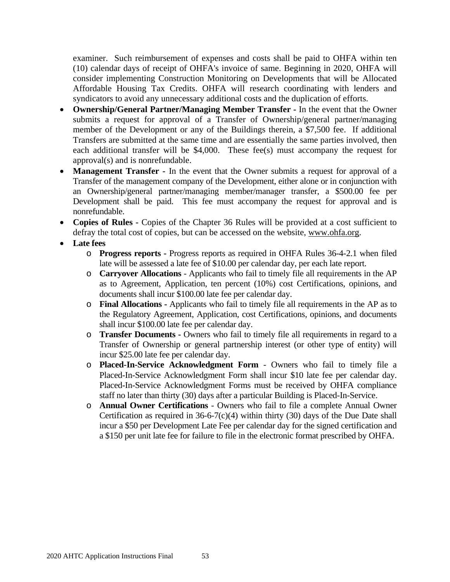examiner. Such reimbursement of expenses and costs shall be paid to OHFA within ten (10) calendar days of receipt of OHFA's invoice of same. Beginning in 2020, OHFA will consider implementing Construction Monitoring on Developments that will be Allocated Affordable Housing Tax Credits. OHFA will research coordinating with lenders and syndicators to avoid any unnecessary additional costs and the duplication of efforts.

- **Ownership/General Partner/Managing Member Transfer -** In the event that the Owner submits a request for approval of a Transfer of Ownership/general partner/managing member of the Development or any of the Buildings therein, a \$7,500 fee. If additional Transfers are submitted at the same time and are essentially the same parties involved, then each additional transfer will be \$4,000. These fee(s) must accompany the request for approval(s) and is nonrefundable.
- **Management Transfer** In the event that the Owner submits a request for approval of a Transfer of the management company of the Development, either alone or in conjunction with an Ownership/general partner/managing member/manager transfer, a \$500.00 fee per Development shall be paid. This fee must accompany the request for approval and is nonrefundable.
- **Copies of Rules -** Copies of the Chapter 36 Rules will be provided at a cost sufficient to defray the total cost of copies, but can be accessed on the website, [www.ohfa.org.](http://www.ohfa.org/)
- **Late fees**
	- o **Progress reports -** Progress reports as required in OHFA Rules 36-4-2.1 when filed late will be assessed a late fee of \$10.00 per calendar day, per each late report.
	- o **Carryover Allocations** Applicants who fail to timely file all requirements in the AP as to Agreement, Application, ten percent (10%) cost Certifications, opinions, and documents shall incur \$100.00 late fee per calendar day.
	- o **Final Allocations -** Applicants who fail to timely file all requirements in the AP as to the Regulatory Agreement, Application, cost Certifications, opinions, and documents shall incur \$100.00 late fee per calendar day.
	- o **Transfer Documents -** Owners who fail to timely file all requirements in regard to a Transfer of Ownership or general partnership interest (or other type of entity) will incur \$25.00 late fee per calendar day.
	- o **Placed-In-Service Acknowledgment Form** Owners who fail to timely file a Placed-In-Service Acknowledgment Form shall incur \$10 late fee per calendar day. Placed-In-Service Acknowledgment Forms must be received by OHFA compliance staff no later than thirty (30) days after a particular Building is Placed-In-Service.
	- o **Annual Owner Certifications** Owners who fail to file a complete Annual Owner Certification as required in  $36-6-7(c)(4)$  within thirty (30) days of the Due Date shall incur a \$50 per Development Late Fee per calendar day for the signed certification and a \$150 per unit late fee for failure to file in the electronic format prescribed by OHFA.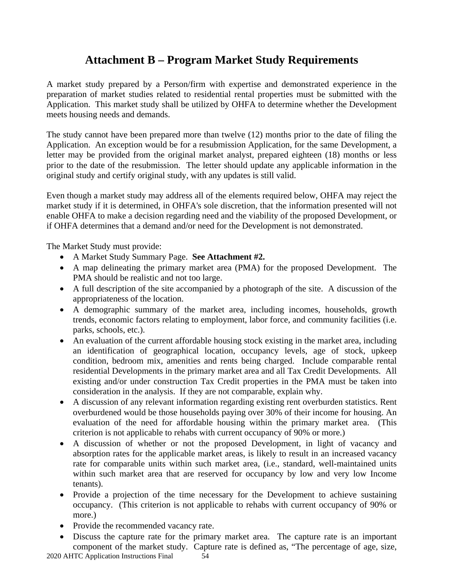## **Attachment B – Program Market Study Requirements**

<span id="page-53-0"></span>A market study prepared by a Person/firm with expertise and demonstrated experience in the preparation of market studies related to residential rental properties must be submitted with the Application. This market study shall be utilized by OHFA to determine whether the Development meets housing needs and demands.

The study cannot have been prepared more than twelve (12) months prior to the date of filing the Application. An exception would be for a resubmission Application, for the same Development, a letter may be provided from the original market analyst, prepared eighteen (18) months or less prior to the date of the resubmission. The letter should update any applicable information in the original study and certify original study, with any updates is still valid.

Even though a market study may address all of the elements required below, OHFA may reject the market study if it is determined, in OHFA's sole discretion, that the information presented will not enable OHFA to make a decision regarding need and the viability of the proposed Development, or if OHFA determines that a demand and/or need for the Development is not demonstrated.

The Market Study must provide:

- A Market Study Summary Page. **See Attachment #2.**
- A map delineating the primary market area (PMA) for the proposed Development. The PMA should be realistic and not too large.
- A full description of the site accompanied by a photograph of the site. A discussion of the appropriateness of the location.
- A demographic summary of the market area, including incomes, households, growth trends, economic factors relating to employment, labor force, and community facilities (i.e. parks, schools, etc.).
- An evaluation of the current affordable housing stock existing in the market area, including an identification of geographical location, occupancy levels, age of stock, upkeep condition, bedroom mix, amenities and rents being charged. Include comparable rental residential Developments in the primary market area and all Tax Credit Developments. All existing and/or under construction Tax Credit properties in the PMA must be taken into consideration in the analysis. If they are not comparable, explain why.
- A discussion of any relevant information regarding existing rent overburden statistics. Rent overburdened would be those households paying over 30% of their income for housing. An evaluation of the need for affordable housing within the primary market area. (This criterion is not applicable to rehabs with current occupancy of 90% or more.)
- A discussion of whether or not the proposed Development, in light of vacancy and absorption rates for the applicable market areas, is likely to result in an increased vacancy rate for comparable units within such market area, (i.e., standard, well-maintained units within such market area that are reserved for occupancy by low and very low Income tenants).
- Provide a projection of the time necessary for the Development to achieve sustaining occupancy. (This criterion is not applicable to rehabs with current occupancy of 90% or more.)
- Provide the recommended vacancy rate.
- Discuss the capture rate for the primary market area. The capture rate is an important component of the market study. Capture rate is defined as, "The percentage of age, size,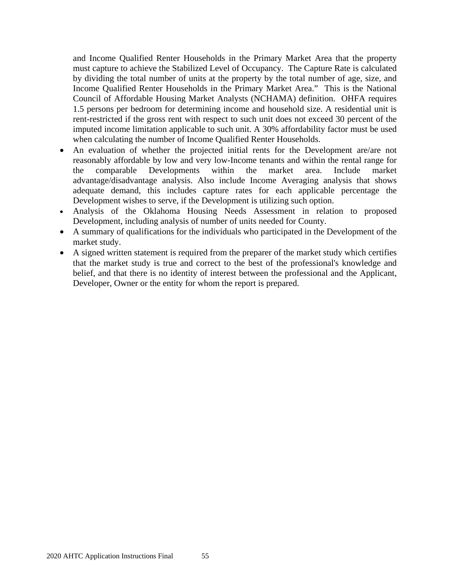and Income Qualified Renter Households in the Primary Market Area that the property must capture to achieve the Stabilized Level of Occupancy. The Capture Rate is calculated by dividing the total number of units at the property by the total number of age, size, and Income Qualified Renter Households in the Primary Market Area." This is the National Council of Affordable Housing Market Analysts (NCHAMA) definition. OHFA requires 1.5 persons per bedroom for determining income and household size. A residential unit is rent-restricted if the gross rent with respect to such unit does not exceed 30 percent of the imputed income limitation applicable to such unit. A 30% affordability factor must be used when calculating the number of Income Qualified Renter Households.

- An evaluation of whether the projected initial rents for the Development are/are not reasonably affordable by low and very low-Income tenants and within the rental range for the comparable Developments within the market area. Include market advantage/disadvantage analysis. Also include Income Averaging analysis that shows adequate demand, this includes capture rates for each applicable percentage the Development wishes to serve, if the Development is utilizing such option.
- Analysis of the Oklahoma Housing Needs Assessment in relation to proposed Development, including analysis of number of units needed for County.
- A summary of qualifications for the individuals who participated in the Development of the market study.
- A signed written statement is required from the preparer of the market study which certifies that the market study is true and correct to the best of the professional's knowledge and belief, and that there is no identity of interest between the professional and the Applicant, Developer, Owner or the entity for whom the report is prepared.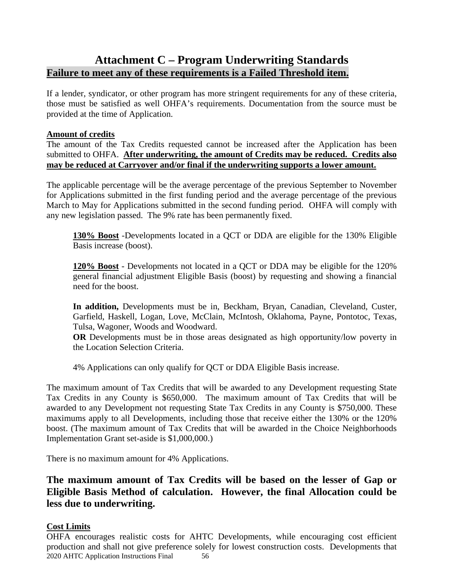## <span id="page-55-0"></span>**Attachment C – Program Underwriting Standards Failure to meet any of these requirements is a Failed Threshold item.**

If a lender, syndicator, or other program has more stringent requirements for any of these criteria, those must be satisfied as well OHFA's requirements. Documentation from the source must be provided at the time of Application.

### **Amount of credits**

The amount of the Tax Credits requested cannot be increased after the Application has been submitted to OHFA. **After underwriting, the amount of Credits may be reduced. Credits also may be reduced at Carryover and/or final if the underwriting supports a lower amount.**

The applicable percentage will be the average percentage of the previous September to November for Applications submitted in the first funding period and the average percentage of the previous March to May for Applications submitted in the second funding period. OHFA will comply with any new legislation passed. The 9% rate has been permanently fixed.

**130% Boost** -Developments located in a QCT or DDA are eligible for the 130% Eligible Basis increase (boost).

**120% Boost** - Developments not located in a QCT or DDA may be eligible for the 120% general financial adjustment Eligible Basis (boost) by requesting and showing a financial need for the boost.

**In addition,** Developments must be in, Beckham, Bryan, Canadian, Cleveland, Custer, Garfield, Haskell, Logan, Love, McClain, McIntosh, Oklahoma, Payne, Pontotoc, Texas, Tulsa, Wagoner, Woods and Woodward.

**OR** Developments must be in those areas designated as high opportunity/low poverty in the Location Selection Criteria.

4% Applications can only qualify for QCT or DDA Eligible Basis increase.

The maximum amount of Tax Credits that will be awarded to any Development requesting State Tax Credits in any County is \$650,000. The maximum amount of Tax Credits that will be awarded to any Development not requesting State Tax Credits in any County is \$750,000. These maximums apply to all Developments, including those that receive either the 130% or the 120% boost. (The maximum amount of Tax Credits that will be awarded in the Choice Neighborhoods Implementation Grant set-aside is \$1,000,000.)

There is no maximum amount for 4% Applications.

### **The maximum amount of Tax Credits will be based on the lesser of Gap or Eligible Basis Method of calculation. However, the final Allocation could be less due to underwriting.**

### **Cost Limits**

2020 AHTC Application Instructions Final 56 OHFA encourages realistic costs for AHTC Developments, while encouraging cost efficient production and shall not give preference solely for lowest construction costs. Developments that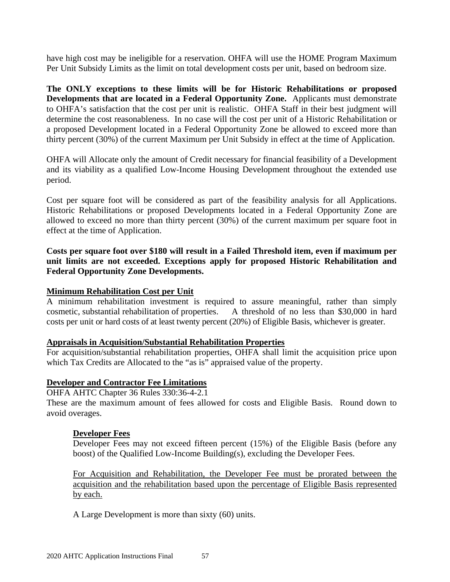have high cost may be ineligible for a reservation. OHFA will use the HOME Program Maximum Per Unit Subsidy Limits as the limit on total development costs per unit, based on bedroom size.

**The ONLY exceptions to these limits will be for Historic Rehabilitations or proposed Developments that are located in a Federal Opportunity Zone.** Applicants must demonstrate to OHFA's satisfaction that the cost per unit is realistic. OHFA Staff in their best judgment will determine the cost reasonableness. In no case will the cost per unit of a Historic Rehabilitation or a proposed Development located in a Federal Opportunity Zone be allowed to exceed more than thirty percent (30%) of the current Maximum per Unit Subsidy in effect at the time of Application.

OHFA will Allocate only the amount of Credit necessary for financial feasibility of a Development and its viability as a qualified Low-Income Housing Development throughout the extended use period.

Cost per square foot will be considered as part of the feasibility analysis for all Applications. Historic Rehabilitations or proposed Developments located in a Federal Opportunity Zone are allowed to exceed no more than thirty percent (30%) of the current maximum per square foot in effect at the time of Application.

**Costs per square foot over \$180 will result in a Failed Threshold item, even if maximum per unit limits are not exceeded. Exceptions apply for proposed Historic Rehabilitation and Federal Opportunity Zone Developments.**

### **Minimum Rehabilitation Cost per Unit**

A minimum rehabilitation investment is required to assure meaningful, rather than simply cosmetic, substantial rehabilitation of properties. A threshold of no less than \$30,000 in hard costs per unit or hard costs of at least twenty percent (20%) of Eligible Basis, whichever is greater.

### **Appraisals in Acquisition/Substantial Rehabilitation Properties**

For acquisition/substantial rehabilitation properties, OHFA shall limit the acquisition price upon which Tax Credits are Allocated to the "as is" appraised value of the property.

### **Developer and Contractor Fee Limitations**

OHFA AHTC Chapter 36 Rules 330:36-4-2.1

These are the maximum amount of fees allowed for costs and Eligible Basis. Round down to avoid overages.

### **Developer Fees**

Developer Fees may not exceed fifteen percent (15%) of the Eligible Basis (before any boost) of the Qualified Low-Income Building(s), excluding the Developer Fees.

For Acquisition and Rehabilitation, the Developer Fee must be prorated between the acquisition and the rehabilitation based upon the percentage of Eligible Basis represented by each.

A Large Development is more than sixty (60) units.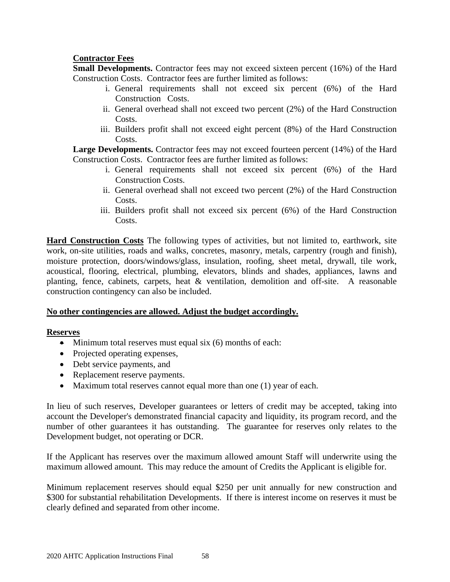### **Contractor Fees**

**Small Developments.** Contractor fees may not exceed sixteen percent (16%) of the Hard Construction Costs. Contractor fees are further limited as follows:

- i. General requirements shall not exceed six percent (6%) of the Hard Construction Costs.
- ii. General overhead shall not exceed two percent (2%) of the Hard Construction Costs.
- iii. Builders profit shall not exceed eight percent (8%) of the Hard Construction Costs.

Large Developments. Contractor fees may not exceed fourteen percent (14%) of the Hard Construction Costs. Contractor fees are further limited as follows:

- i. General requirements shall not exceed six percent (6%) of the Hard Construction Costs.
- ii. General overhead shall not exceed two percent (2%) of the Hard Construction Costs.
- iii. Builders profit shall not exceed six percent (6%) of the Hard Construction Costs.

**Hard Construction Costs** The following types of activities, but not limited to, earthwork, site work, on-site utilities, roads and walks, concretes, masonry, metals, carpentry (rough and finish), moisture protection, doors/windows/glass, insulation, roofing, sheet metal, drywall, tile work, acoustical, flooring, electrical, plumbing, elevators, blinds and shades, appliances, lawns and planting, fence, cabinets, carpets, heat & ventilation, demolition and off-site. A reasonable construction contingency can also be included.

### **No other contingencies are allowed. Adjust the budget accordingly.**

### **Reserves**

- Minimum total reserves must equal six  $(6)$  months of each:
- Projected operating expenses,
- Debt service payments, and
- Replacement reserve payments.
- Maximum total reserves cannot equal more than one (1) year of each.

In lieu of such reserves, Developer guarantees or letters of credit may be accepted, taking into account the Developer's demonstrated financial capacity and liquidity, its program record, and the number of other guarantees it has outstanding. The guarantee for reserves only relates to the Development budget, not operating or DCR.

If the Applicant has reserves over the maximum allowed amount Staff will underwrite using the maximum allowed amount. This may reduce the amount of Credits the Applicant is eligible for.

Minimum replacement reserves should equal \$250 per unit annually for new construction and \$300 for substantial rehabilitation Developments. If there is interest income on reserves it must be clearly defined and separated from other income.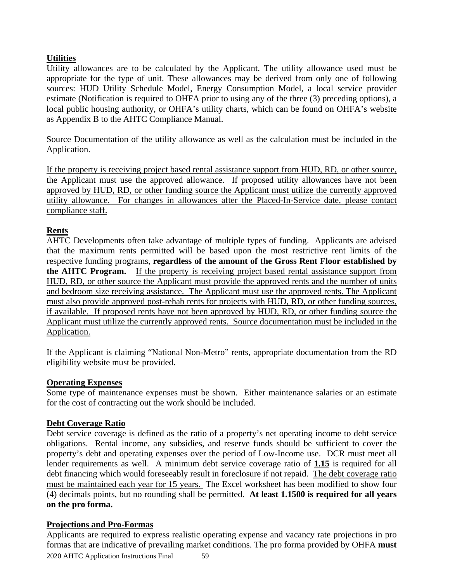### **Utilities**

Utility allowances are to be calculated by the Applicant. The utility allowance used must be appropriate for the type of unit. These allowances may be derived from only one of following sources: HUD Utility Schedule Model, Energy Consumption Model, a local service provider estimate (Notification is required to OHFA prior to using any of the three (3) preceding options), a local public housing authority, or OHFA's utility charts, which can be found on OHFA's website as Appendix B to the AHTC Compliance Manual.

Source Documentation of the utility allowance as well as the calculation must be included in the Application.

If the property is receiving project based rental assistance support from HUD, RD, or other source, the Applicant must use the approved allowance. If proposed utility allowances have not been approved by HUD, RD, or other funding source the Applicant must utilize the currently approved utility allowance. For changes in allowances after the Placed-In-Service date, please contact compliance staff.

### **Rents**

AHTC Developments often take advantage of multiple types of funding. Applicants are advised that the maximum rents permitted will be based upon the most restrictive rent limits of the respective funding programs, **regardless of the amount of the Gross Rent Floor established by the AHTC Program.** If the property is receiving project based rental assistance support from HUD, RD, or other source the Applicant must provide the approved rents and the number of units and bedroom size receiving assistance. The Applicant must use the approved rents. The Applicant must also provide approved post-rehab rents for projects with HUD, RD, or other funding sources, if available. If proposed rents have not been approved by HUD, RD, or other funding source the Applicant must utilize the currently approved rents. Source documentation must be included in the Application.

If the Applicant is claiming "National Non-Metro" rents, appropriate documentation from the RD eligibility website must be provided.

### **Operating Expenses**

Some type of maintenance expenses must be shown. Either maintenance salaries or an estimate for the cost of contracting out the work should be included.

### **Debt Coverage Ratio**

Debt service coverage is defined as the ratio of a property's net operating income to debt service obligations. Rental income, any subsidies, and reserve funds should be sufficient to cover the property's debt and operating expenses over the period of Low-Income use. DCR must meet all lender requirements as well. A minimum debt service coverage ratio of **1.15** is required for all debt financing which would foreseeably result in foreclosure if not repaid. The debt coverage ratio must be maintained each year for 15 years. The Excel worksheet has been modified to show four (4) decimals points, but no rounding shall be permitted. **At least 1.1500 is required for all years on the pro forma.**

### **Projections and Pro-Formas**

2020 AHTC Application Instructions Final 59 Applicants are required to express realistic operating expense and vacancy rate projections in pro formas that are indicative of prevailing market conditions. The pro forma provided by OHFA **must**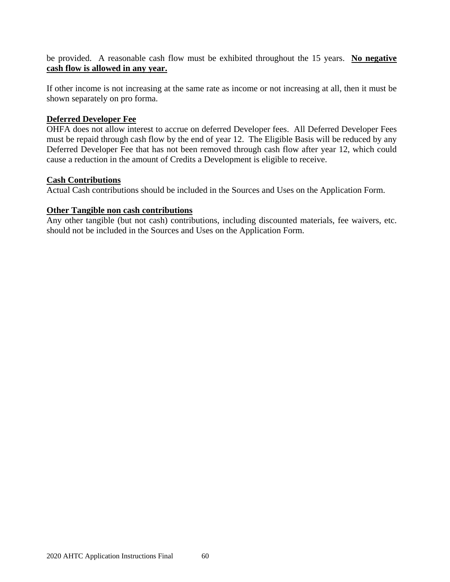be provided. A reasonable cash flow must be exhibited throughout the 15 years. **No negative cash flow is allowed in any year.**

If other income is not increasing at the same rate as income or not increasing at all, then it must be shown separately on pro forma.

### **Deferred Developer Fee**

OHFA does not allow interest to accrue on deferred Developer fees. All Deferred Developer Fees must be repaid through cash flow by the end of year 12. The Eligible Basis will be reduced by any Deferred Developer Fee that has not been removed through cash flow after year 12, which could cause a reduction in the amount of Credits a Development is eligible to receive.

### **Cash Contributions**

Actual Cash contributions should be included in the Sources and Uses on the Application Form.

### **Other Tangible non cash contributions**

Any other tangible (but not cash) contributions, including discounted materials, fee waivers, etc. should not be included in the Sources and Uses on the Application Form.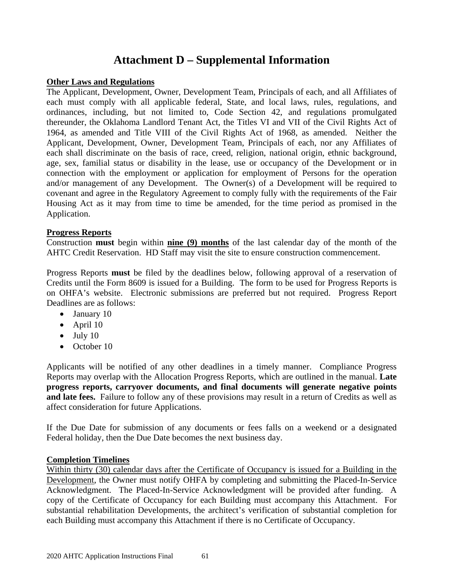## **Attachment D – Supplemental Information**

### <span id="page-60-0"></span>**Other Laws and Regulations**

The Applicant, Development, Owner, Development Team, Principals of each, and all Affiliates of each must comply with all applicable federal, State, and local laws, rules, regulations, and ordinances, including, but not limited to, Code Section 42, and regulations promulgated thereunder, the Oklahoma Landlord Tenant Act, the Titles VI and VII of the Civil Rights Act of 1964, as amended and Title VIII of the Civil Rights Act of 1968, as amended. Neither the Applicant, Development, Owner, Development Team, Principals of each, nor any Affiliates of each shall discriminate on the basis of race, creed, religion, national origin, ethnic background, age, sex, familial status or disability in the lease, use or occupancy of the Development or in connection with the employment or application for employment of Persons for the operation and/or management of any Development. The Owner(s) of a Development will be required to covenant and agree in the Regulatory Agreement to comply fully with the requirements of the Fair Housing Act as it may from time to time be amended, for the time period as promised in the Application.

### **Progress Reports**

Construction **must** begin within **nine (9) months** of the last calendar day of the month of the AHTC Credit Reservation. HD Staff may visit the site to ensure construction commencement.

Progress Reports **must** be filed by the deadlines below, following approval of a reservation of Credits until the Form 8609 is issued for a Building. The form to be used for Progress Reports is on OHFA's website. Electronic submissions are preferred but not required. Progress Report Deadlines are as follows:

- January 10
- April 10
- $\bullet$  July 10
- October 10

Applicants will be notified of any other deadlines in a timely manner. Compliance Progress Reports may overlap with the Allocation Progress Reports, which are outlined in the manual. **Late progress reports, carryover documents, and final documents will generate negative points and late fees.** Failure to follow any of these provisions may result in a return of Credits as well as affect consideration for future Applications.

If the Due Date for submission of any documents or fees falls on a weekend or a designated Federal holiday, then the Due Date becomes the next business day.

### **Completion Timelines**

Within thirty (30) calendar days after the Certificate of Occupancy is issued for a Building in the Development, the Owner must notify OHFA by completing and submitting the Placed-In-Service Acknowledgment. The Placed-In-Service Acknowledgment will be provided after funding. A copy of the Certificate of Occupancy for each Building must accompany this Attachment. For substantial rehabilitation Developments, the architect's verification of substantial completion for each Building must accompany this Attachment if there is no Certificate of Occupancy.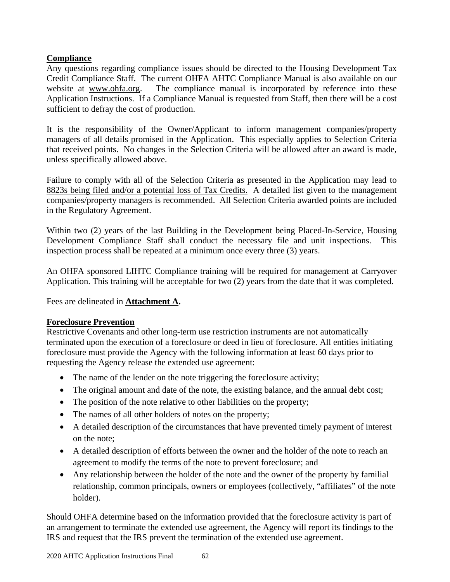### **Compliance**

Any questions regarding compliance issues should be directed to the Housing Development Tax Credit Compliance Staff. The current OHFA AHTC Compliance Manual is also available on our website at [www.ohfa.org.](http://www.ohfa.org/) The compliance manual is incorporated by reference into these Application Instructions. If a Compliance Manual is requested from Staff, then there will be a cost sufficient to defray the cost of production.

It is the responsibility of the Owner/Applicant to inform management companies/property managers of all details promised in the Application. This especially applies to Selection Criteria that received points. No changes in the Selection Criteria will be allowed after an award is made, unless specifically allowed above.

Failure to comply with all of the Selection Criteria as presented in the Application may lead to 8823s being filed and/or a potential loss of Tax Credits. A detailed list given to the management companies/property managers is recommended. All Selection Criteria awarded points are included in the Regulatory Agreement.

Within two (2) years of the last Building in the Development being Placed-In-Service, Housing Development Compliance Staff shall conduct the necessary file and unit inspections. This inspection process shall be repeated at a minimum once every three (3) years.

An OHFA sponsored LIHTC Compliance training will be required for management at Carryover Application. This training will be acceptable for two (2) years from the date that it was completed.

Fees are delineated in **Attachment A.**

### **Foreclosure Prevention**

Restrictive Covenants and other long-term use restriction instruments are not automatically terminated upon the execution of a foreclosure or deed in lieu of foreclosure. All entities initiating foreclosure must provide the Agency with the following information at least 60 days prior to requesting the Agency release the extended use agreement:

- The name of the lender on the note triggering the foreclosure activity;
- The original amount and date of the note, the existing balance, and the annual debt cost;
- The position of the note relative to other liabilities on the property;
- The names of all other holders of notes on the property;
- A detailed description of the circumstances that have prevented timely payment of interest on the note;
- A detailed description of efforts between the owner and the holder of the note to reach an agreement to modify the terms of the note to prevent foreclosure; and
- Any relationship between the holder of the note and the owner of the property by familial relationship, common principals, owners or employees (collectively, "affiliates" of the note holder).

Should OHFA determine based on the information provided that the foreclosure activity is part of an arrangement to terminate the extended use agreement, the Agency will report its findings to the IRS and request that the IRS prevent the termination of the extended use agreement.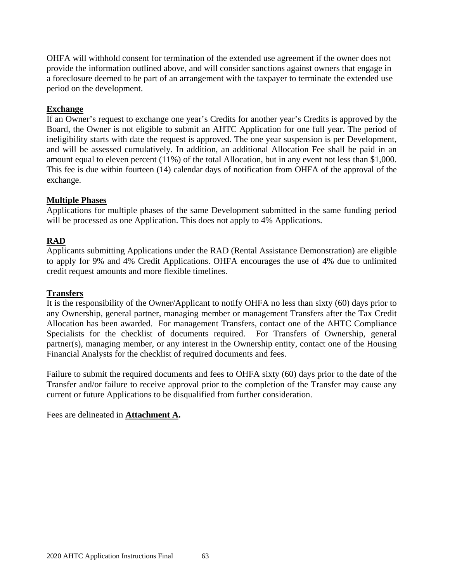OHFA will withhold consent for termination of the extended use agreement if the owner does not provide the information outlined above, and will consider sanctions against owners that engage in a foreclosure deemed to be part of an arrangement with the taxpayer to terminate the extended use period on the development.

### **Exchange**

If an Owner's request to exchange one year's Credits for another year's Credits is approved by the Board, the Owner is not eligible to submit an AHTC Application for one full year. The period of ineligibility starts with date the request is approved. The one year suspension is per Development, and will be assessed cumulatively. In addition, an additional Allocation Fee shall be paid in an amount equal to eleven percent (11%) of the total Allocation, but in any event not less than \$1,000. This fee is due within fourteen (14) calendar days of notification from OHFA of the approval of the exchange.

### **Multiple Phases**

Applications for multiple phases of the same Development submitted in the same funding period will be processed as one Application. This does not apply to 4% Applications.

### **RAD**

Applicants submitting Applications under the RAD (Rental Assistance Demonstration) are eligible to apply for 9% and 4% Credit Applications. OHFA encourages the use of 4% due to unlimited credit request amounts and more flexible timelines.

### **Transfers**

It is the responsibility of the Owner/Applicant to notify OHFA no less than sixty (60) days prior to any Ownership, general partner, managing member or management Transfers after the Tax Credit Allocation has been awarded. For management Transfers, contact one of the AHTC Compliance Specialists for the checklist of documents required. For Transfers of Ownership, general partner(s), managing member, or any interest in the Ownership entity, contact one of the Housing Financial Analysts for the checklist of required documents and fees.

Failure to submit the required documents and fees to OHFA sixty (60) days prior to the date of the Transfer and/or failure to receive approval prior to the completion of the Transfer may cause any current or future Applications to be disqualified from further consideration.

Fees are delineated in **Attachment A.**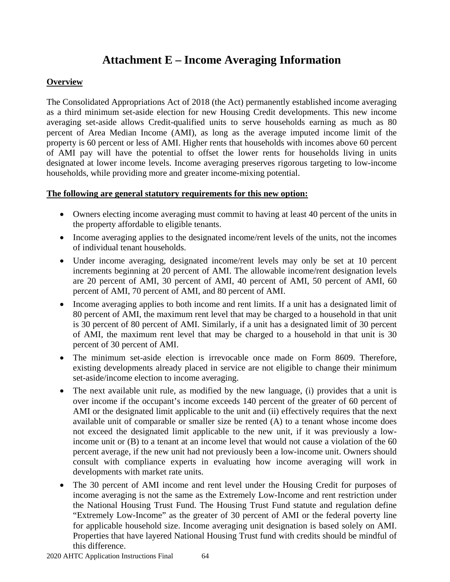## **Attachment E – Income Averaging Information**

### <span id="page-63-0"></span>**Overview**

The Consolidated Appropriations Act of 2018 (the Act) permanently established income averaging as a third minimum set-aside election for new Housing Credit developments. This new income averaging set-aside allows Credit-qualified units to serve households earning as much as 80 percent of Area Median Income (AMI), as long as the average imputed income limit of the property is 60 percent or less of AMI. Higher rents that households with incomes above 60 percent of AMI pay will have the potential to offset the lower rents for households living in units designated at lower income levels. Income averaging preserves rigorous targeting to low-income households, while providing more and greater income-mixing potential.

### **The following are general statutory requirements for this new option:**

- Owners electing income averaging must commit to having at least 40 percent of the units in the property affordable to eligible tenants.
- Income averaging applies to the designated income/rent levels of the units, not the incomes of individual tenant households.
- Under income averaging, designated income/rent levels may only be set at 10 percent increments beginning at 20 percent of AMI. The allowable income/rent designation levels are 20 percent of AMI, 30 percent of AMI, 40 percent of AMI, 50 percent of AMI, 60 percent of AMI, 70 percent of AMI, and 80 percent of AMI.
- Income averaging applies to both income and rent limits. If a unit has a designated limit of 80 percent of AMI, the maximum rent level that may be charged to a household in that unit is 30 percent of 80 percent of AMI. Similarly, if a unit has a designated limit of 30 percent of AMI, the maximum rent level that may be charged to a household in that unit is 30 percent of 30 percent of AMI.
- The minimum set-aside election is irrevocable once made on Form 8609. Therefore, existing developments already placed in service are not eligible to change their minimum set-aside/income election to income averaging.
- The next available unit rule, as modified by the new language, (i) provides that a unit is over income if the occupant's income exceeds 140 percent of the greater of 60 percent of AMI or the designated limit applicable to the unit and (ii) effectively requires that the next available unit of comparable or smaller size be rented (A) to a tenant whose income does not exceed the designated limit applicable to the new unit, if it was previously a lowincome unit or (B) to a tenant at an income level that would not cause a violation of the 60 percent average, if the new unit had not previously been a low-income unit. Owners should consult with compliance experts in evaluating how income averaging will work in developments with market rate units.
- The 30 percent of AMI income and rent level under the Housing Credit for purposes of income averaging is not the same as the Extremely Low-Income and rent restriction under the National Housing Trust Fund. The Housing Trust Fund statute and regulation define "Extremely Low-Income" as the greater of 30 percent of AMI or the federal poverty line for applicable household size. Income averaging unit designation is based solely on AMI. Properties that have layered National Housing Trust fund with credits should be mindful of this difference.

2020 AHTC Application Instructions Final 64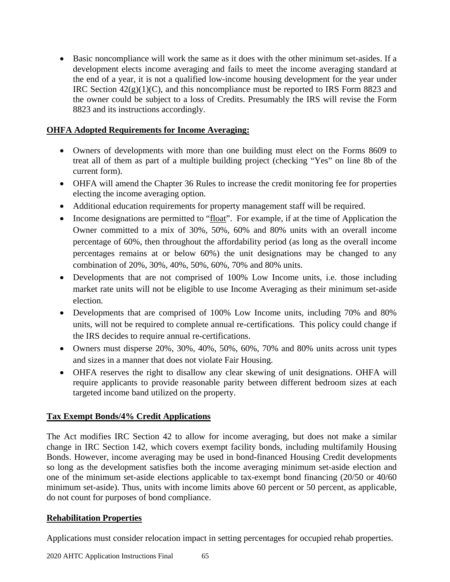• Basic noncompliance will work the same as it does with the other minimum set-asides. If a development elects income averaging and fails to meet the income averaging standard at the end of a year, it is not a qualified low-income housing development for the year under IRC Section  $42(g)(1)(C)$ , and this noncompliance must be reported to IRS Form 8823 and the owner could be subject to a loss of Credits. Presumably the IRS will revise the Form 8823 and its instructions accordingly.

### **OHFA Adopted Requirements for Income Averaging:**

- Owners of developments with more than one building must elect on the Forms 8609 to treat all of them as part of a multiple building project (checking "Yes" on line 8b of the current form).
- OHFA will amend the Chapter 36 Rules to increase the credit monitoring fee for properties electing the income averaging option.
- Additional education requirements for property management staff will be required.
- Income designations are permitted to "float". For example, if at the time of Application the Owner committed to a mix of 30%, 50%, 60% and 80% units with an overall income percentage of 60%, then throughout the affordability period (as long as the overall income percentages remains at or below 60%) the unit designations may be changed to any combination of 20%, 30%, 40%, 50%, 60%, 70% and 80% units.
- Developments that are not comprised of 100% Low Income units, i.e. those including market rate units will not be eligible to use Income Averaging as their minimum set-aside election.
- Developments that are comprised of 100% Low Income units, including 70% and 80% units, will not be required to complete annual re-certifications. This policy could change if the IRS decides to require annual re-certifications.
- Owners must disperse 20%, 30%, 40%, 50%, 60%, 70% and 80% units across unit types and sizes in a manner that does not violate Fair Housing.
- OHFA reserves the right to disallow any clear skewing of unit designations. OHFA will require applicants to provide reasonable parity between different bedroom sizes at each targeted income band utilized on the property.

### **Tax Exempt Bonds/4% Credit Applications**

The Act modifies IRC Section 42 to allow for income averaging, but does not make a similar change in IRC Section 142, which covers exempt facility bonds, including multifamily Housing Bonds. However, income averaging may be used in bond-financed Housing Credit developments so long as the development satisfies both the income averaging minimum set-aside election and one of the minimum set-aside elections applicable to tax-exempt bond financing (20/50 or 40/60 minimum set-aside). Thus, units with income limits above 60 percent or 50 percent, as applicable, do not count for purposes of bond compliance.

### **Rehabilitation Properties**

Applications must consider relocation impact in setting percentages for occupied rehab properties.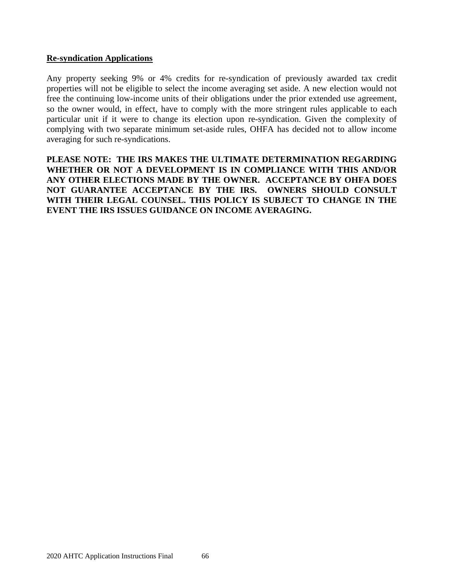### **Re-syndication Applications**

Any property seeking 9% or 4% credits for re-syndication of previously awarded tax credit properties will not be eligible to select the income averaging set aside. A new election would not free the continuing low-income units of their obligations under the prior extended use agreement, so the owner would, in effect, have to comply with the more stringent rules applicable to each particular unit if it were to change its election upon re-syndication. Given the complexity of complying with two separate minimum set-aside rules, OHFA has decided not to allow income averaging for such re-syndications.

**PLEASE NOTE: THE IRS MAKES THE ULTIMATE DETERMINATION REGARDING WHETHER OR NOT A DEVELOPMENT IS IN COMPLIANCE WITH THIS AND/OR ANY OTHER ELECTIONS MADE BY THE OWNER. ACCEPTANCE BY OHFA DOES NOT GUARANTEE ACCEPTANCE BY THE IRS. OWNERS SHOULD CONSULT WITH THEIR LEGAL COUNSEL. THIS POLICY IS SUBJECT TO CHANGE IN THE EVENT THE IRS ISSUES GUIDANCE ON INCOME AVERAGING.**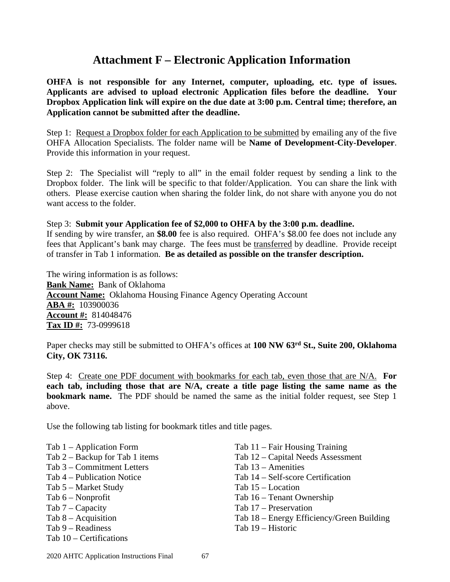## **Attachment F – Electronic Application Information**

**OHFA is not responsible for any Internet, computer, uploading, etc. type of issues. Applicants are advised to upload electronic Application files before the deadline. Your Dropbox Application link will expire on the due date at 3:00 p.m. Central time; therefore, an Application cannot be submitted after the deadline.**

Step 1: Request a Dropbox folder for each Application to be submitted by emailing any of the five OHFA Allocation Specialists. The folder name will be **Name of Development-City-Developer**. Provide this information in your request.

Step 2: The Specialist will "reply to all" in the email folder request by sending a link to the Dropbox folder. The link will be specific to that folder/Application. You can share the link with others. Please exercise caution when sharing the folder link, do not share with anyone you do not want access to the folder.

### Step 3: **Submit your Application fee of \$2,000 to OHFA by the 3:00 p.m. deadline.**

If sending by wire transfer, an **\$8.00** fee is also required. OHFA's \$8.00 fee does not include any fees that Applicant's bank may charge. The fees must be transferred by deadline. Provide receipt of transfer in Tab 1 information. **Be as detailed as possible on the transfer description.** 

The wiring information is as follows: **Bank Name:** Bank of Oklahoma **Account Name:** Oklahoma Housing Finance Agency Operating Account **ABA #:** 103900036 **Account #:** 814048476 **Tax ID #:** 73-0999618

Paper checks may still be submitted to OHFA's offices at **100 NW 63rd St., Suite 200, Oklahoma City, OK 73116.**

Step 4: Create one PDF document with bookmarks for each tab, even those that are N/A. **For each tab, including those that are N/A, create a title page listing the same name as the bookmark name.** The PDF should be named the same as the initial folder request, see Step 1 above.

Use the following tab listing for bookmark titles and title pages.

Tab 1 – Application Form Tab 2 – Backup for Tab 1 items Tab 3 – Commitment Letters Tab 4 – Publication Notice Tab 5 – Market Study Tab 6 – Nonprofit Tab 7 – Capacity Tab 8 – Acquisition Tab 9 – Readiness Tab 10 – Certifications

Tab 11 – Fair Housing Training Tab 12 – Capital Needs Assessment Tab 13 – Amenities Tab 14 – Self-score Certification Tab 15 – Location Tab 16 – Tenant Ownership Tab 17 – Preservation Tab 18 – Energy Efficiency/Green Building Tab 19 – Historic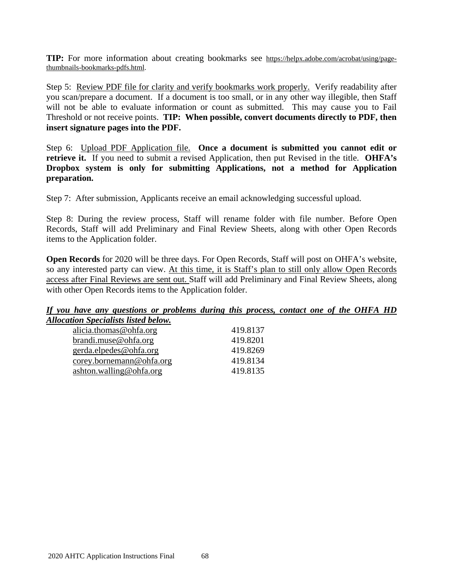**TIP:** For more information about creating bookmarks see [https://helpx.adobe.com/acrobat/using/page](https://helpx.adobe.com/acrobat/using/page-thumbnails-bookmarks-pdfs.html)[thumbnails-bookmarks-pdfs.html.](https://helpx.adobe.com/acrobat/using/page-thumbnails-bookmarks-pdfs.html)

Step 5: Review PDF file for clarity and verify bookmarks work properly. Verify readability after you scan/prepare a document. If a document is too small, or in any other way illegible, then Staff will not be able to evaluate information or count as submitted. This may cause you to Fail Threshold or not receive points. **TIP: When possible, convert documents directly to PDF, then insert signature pages into the PDF.**

Step 6: Upload PDF Application file. **Once a document is submitted you cannot edit or retrieve it.** If you need to submit a revised Application, then put Revised in the title. **OHFA's Dropbox system is only for submitting Applications, not a method for Application preparation.**

Step 7: After submission, Applicants receive an email acknowledging successful upload.

Step 8: During the review process, Staff will rename folder with file number. Before Open Records, Staff will add Preliminary and Final Review Sheets, along with other Open Records items to the Application folder.

**Open Records** for 2020 will be three days. For Open Records, Staff will post on OHFA's website, so any interested party can view. At this time, it is Staff's plan to still only allow Open Records access after Final Reviews are sent out. Staff will add Preliminary and Final Review Sheets, along with other Open Records items to the Application folder.

### *If you have any questions or problems during this process, contact one of the OHFA HD Allocation Specialists listed below.*

| alicia.thomas@ohfa.org   | 419.8137 |
|--------------------------|----------|
| $brandi$ .muse@ohfa.org  | 419.8201 |
| gerda.elpedes@ohfa.org   | 419.8269 |
| corey.bornemann@ohfa.org | 419.8134 |
| ashton.walling@ohfa.org  | 419.8135 |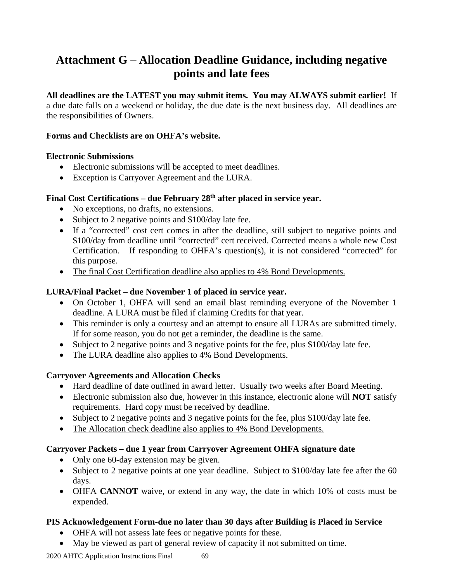## <span id="page-68-0"></span>**Attachment G – Allocation Deadline Guidance, including negative points and late fees**

**All deadlines are the LATEST you may submit items. You may ALWAYS submit earlier!** If a due date falls on a weekend or holiday, the due date is the next business day. All deadlines are the responsibilities of Owners.

### **Forms and Checklists are on OHFA's website.**

### **Electronic Submissions**

- Electronic submissions will be accepted to meet deadlines.
- Exception is Carryover Agreement and the LURA.

### **Final Cost Certifications – due February 28th after placed in service year.**

- No exceptions, no drafts, no extensions.
- Subject to 2 negative points and \$100/day late fee.
- If a "corrected" cost cert comes in after the deadline, still subject to negative points and \$100/day from deadline until "corrected" cert received. Corrected means a whole new Cost Certification. If responding to OHFA's question(s), it is not considered "corrected" for this purpose.
- The final Cost Certification deadline also applies to 4% Bond Developments.

### **LURA/Final Packet – due November 1 of placed in service year.**

- On October 1, OHFA will send an email blast reminding everyone of the November 1 deadline. A LURA must be filed if claiming Credits for that year.
- This reminder is only a courtesy and an attempt to ensure all LURAs are submitted timely. If for some reason, you do not get a reminder, the deadline is the same.
- Subject to 2 negative points and 3 negative points for the fee, plus \$100/day late fee.
- The LURA deadline also applies to 4% Bond Developments.

### **Carryover Agreements and Allocation Checks**

- Hard deadline of date outlined in award letter. Usually two weeks after Board Meeting.
- Electronic submission also due, however in this instance, electronic alone will **NOT** satisfy requirements. Hard copy must be received by deadline.
- Subject to 2 negative points and 3 negative points for the fee, plus \$100/day late fee.
- The Allocation check deadline also applies to 4% Bond Developments.

### **Carryover Packets – due 1 year from Carryover Agreement OHFA signature date**

- Only one 60-day extension may be given.
- Subject to 2 negative points at one year deadline. Subject to \$100/day late fee after the 60 days.
- OHFA **CANNOT** waive, or extend in any way, the date in which 10% of costs must be expended.

### **PIS Acknowledgement Form-due no later than 30 days after Building is Placed in Service**

- OHFA will not assess late fees or negative points for these.
- May be viewed as part of general review of capacity if not submitted on time.